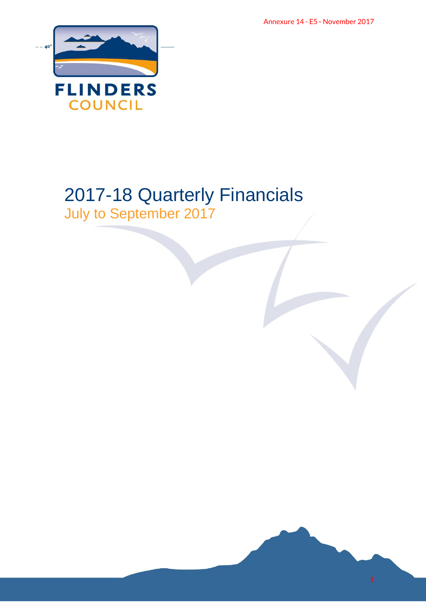Annexure 14 - E5 - November 2017



# 2017-18 Quarterly Financials July to September 2017 Annexure 14 - E5 - November 2017

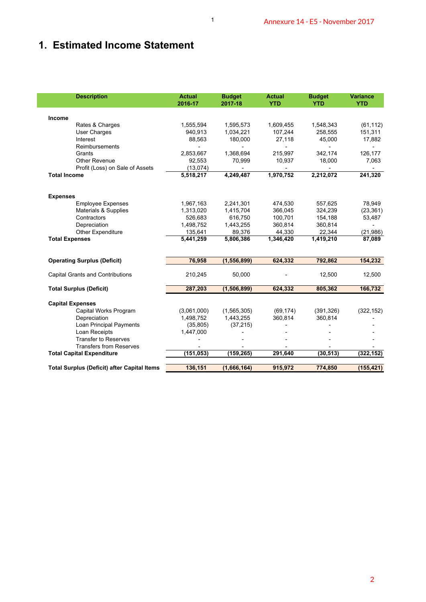# **1. Estimated Income Statement**

| 1,555,594<br>940,913<br>88,563<br>2,853,667<br>92,553<br>(13,074)<br>5,518,217<br>1,967,163<br>1,313,020<br>526,683<br>1,498,752<br>135,641<br>5,441,259 | 1,595,573<br>1,034,221<br>180,000<br>1,368,694<br>70,999<br>4,249,487<br>2,241,301<br>1,415,704<br>616,750<br>1,443,255<br>89,376<br>5,806,386 | 1,609,455<br>107,244<br>27,118<br>215,997<br>10,937<br>1,970,752<br>474,530<br>366,045<br>100,701<br>360,814<br>44,330 | 1,548,343<br>258,555<br>45,000<br>$\overline{\phantom{a}}$<br>342,174<br>18,000<br>2,212,072<br>557,625<br>324,239<br>154,188<br>360,814 | (61, 112)<br>151,311<br>17,882<br>126,177<br>7,063<br>241,320<br>78,949<br>(23, 361)<br>53,487 |
|----------------------------------------------------------------------------------------------------------------------------------------------------------|------------------------------------------------------------------------------------------------------------------------------------------------|------------------------------------------------------------------------------------------------------------------------|------------------------------------------------------------------------------------------------------------------------------------------|------------------------------------------------------------------------------------------------|
|                                                                                                                                                          |                                                                                                                                                |                                                                                                                        |                                                                                                                                          |                                                                                                |
|                                                                                                                                                          |                                                                                                                                                |                                                                                                                        |                                                                                                                                          |                                                                                                |
|                                                                                                                                                          |                                                                                                                                                |                                                                                                                        |                                                                                                                                          |                                                                                                |
|                                                                                                                                                          |                                                                                                                                                |                                                                                                                        |                                                                                                                                          |                                                                                                |
|                                                                                                                                                          |                                                                                                                                                |                                                                                                                        |                                                                                                                                          |                                                                                                |
|                                                                                                                                                          |                                                                                                                                                |                                                                                                                        |                                                                                                                                          |                                                                                                |
|                                                                                                                                                          |                                                                                                                                                |                                                                                                                        |                                                                                                                                          |                                                                                                |
|                                                                                                                                                          |                                                                                                                                                |                                                                                                                        |                                                                                                                                          |                                                                                                |
|                                                                                                                                                          |                                                                                                                                                |                                                                                                                        |                                                                                                                                          |                                                                                                |
|                                                                                                                                                          |                                                                                                                                                |                                                                                                                        |                                                                                                                                          |                                                                                                |
|                                                                                                                                                          |                                                                                                                                                |                                                                                                                        |                                                                                                                                          |                                                                                                |
|                                                                                                                                                          |                                                                                                                                                |                                                                                                                        |                                                                                                                                          | $\overline{\phantom{0}}$                                                                       |
|                                                                                                                                                          |                                                                                                                                                |                                                                                                                        | 22,344                                                                                                                                   | (21, 986)                                                                                      |
|                                                                                                                                                          |                                                                                                                                                | 1,346,420                                                                                                              | 1,419,210                                                                                                                                | 87,089                                                                                         |
| 76,958                                                                                                                                                   | (1, 556, 899)                                                                                                                                  | 624,332                                                                                                                | 792,862                                                                                                                                  | 154,232                                                                                        |
| 210,245                                                                                                                                                  | 50,000                                                                                                                                         |                                                                                                                        | 12,500                                                                                                                                   | 12,500                                                                                         |
| 287,203                                                                                                                                                  | (1, 506, 899)                                                                                                                                  | 624,332                                                                                                                | 805,362                                                                                                                                  | 166,732                                                                                        |
|                                                                                                                                                          |                                                                                                                                                |                                                                                                                        |                                                                                                                                          |                                                                                                |
|                                                                                                                                                          |                                                                                                                                                |                                                                                                                        |                                                                                                                                          | (322, 152)                                                                                     |
|                                                                                                                                                          |                                                                                                                                                |                                                                                                                        |                                                                                                                                          |                                                                                                |
|                                                                                                                                                          | $\overline{a}$                                                                                                                                 |                                                                                                                        |                                                                                                                                          |                                                                                                |
|                                                                                                                                                          |                                                                                                                                                |                                                                                                                        |                                                                                                                                          |                                                                                                |
|                                                                                                                                                          | -                                                                                                                                              |                                                                                                                        | -                                                                                                                                        | $\overline{\phantom{a}}$                                                                       |
|                                                                                                                                                          |                                                                                                                                                |                                                                                                                        |                                                                                                                                          | (322, 152)                                                                                     |
|                                                                                                                                                          |                                                                                                                                                |                                                                                                                        |                                                                                                                                          | (155, 421)                                                                                     |
|                                                                                                                                                          | (3,061,000)<br>1,498,752<br>(35, 805)<br>1,447,000<br>(151, 053)<br>136,151                                                                    | (1, 565, 305)<br>1,443,255<br>(37, 215)<br>(159, 265)<br>(1,666,164)                                                   | (69, 174)<br>360,814<br>291,640<br>915,972                                                                                               | (391, 326)<br>360,814<br>(30, 513)<br>774,850                                                  |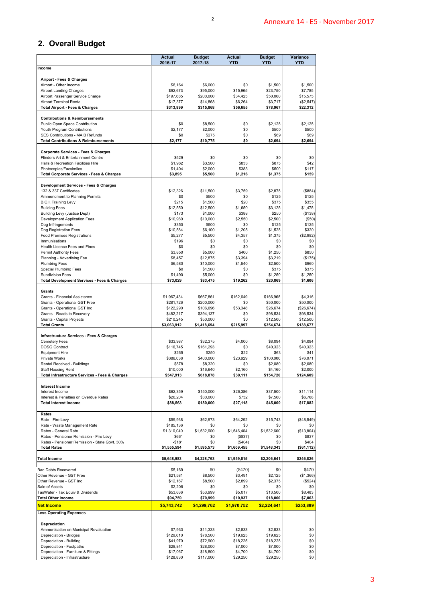## **2. Overall Budget**

|                                                                                       | <b>Actual</b><br>2016-17 | <b>Budget</b><br>2017-18 | <b>Actual</b><br><b>YTD</b> | <b>Budget</b><br><b>YTD</b> | Variance<br><b>YTD</b> |
|---------------------------------------------------------------------------------------|--------------------------|--------------------------|-----------------------------|-----------------------------|------------------------|
| Income                                                                                |                          |                          |                             |                             |                        |
| Airport - Fees & Charges                                                              |                          |                          |                             |                             |                        |
| Airport - Other Income<br><b>Airport Landing Charges</b>                              | \$6,164<br>\$92,673      | \$6,000<br>\$95,000      | \$0<br>\$15,965             | \$1,500<br>\$23,750         | \$1,500<br>\$7,785     |
| Airport Passenger Service Charge                                                      | \$197,685                | \$200,000                | \$34,425                    | \$50,000                    | \$15,575               |
| <b>Airport Terminal Rental</b>                                                        | \$17,377                 | \$14,868                 | \$6,264                     | \$3,717                     | (\$2,547)              |
| <b>Total Airport - Fees &amp; Charges</b>                                             | \$313,899                | \$315,868                | \$56,655                    | \$78,967                    | \$22,312               |
| <b>Contributions &amp; Reimbursements</b>                                             | \$0                      | \$8,500                  | \$0                         | \$2,125                     | \$2,125                |
| Public Open Space Contribution<br>Youth Program Contributions                         | \$2,177                  | \$2,000                  | \$0                         | \$500                       | \$500                  |
| SES Contributions - MAIB Refunds                                                      | \$0                      | \$275                    | \$0                         | \$69                        | \$69                   |
| <b>Total Contributions &amp; Reimbursements</b>                                       | \$2,177                  | \$10,775                 | \$0                         | \$2,694                     | \$2,694                |
| <b>Corporate Services - Fees &amp; Charges</b><br>Flinders Art & Entertainment Centre | \$529                    | \$0                      | \$0                         | \$0                         | \$0                    |
| Halls & Recreation Facilities Hire                                                    | \$1,962                  | \$3,500                  | \$833                       | \$875                       | \$42                   |
| Photocopies/Facsimiles                                                                | \$1,404                  | \$2,000                  | \$383                       | \$500                       | \$117                  |
| <b>Total Corporate Services - Fees &amp; Charges</b>                                  | \$3,895                  | \$5,500                  | \$1,216                     | \$1,375                     | \$159                  |
| Development Services - Fees & Charges                                                 |                          |                          |                             |                             |                        |
| 132 & 337 Certificates<br>Ammendment to Planning Permits                              | \$12,326<br>\$0          | \$11,500<br>\$500        | \$3,759<br>\$0              | \$2,875<br>\$125            | (\$884)<br>\$125       |
| B.C.I. Training Levy                                                                  | \$215                    | \$1,500                  | \$20                        | \$375                       | \$355                  |
| <b>Building Fees</b><br>Building Levy (Justice Dept)                                  | \$12,550<br>\$173        | \$12,500<br>\$1,000      | \$1,650<br>\$388            | \$3,125<br>\$250            | \$1,475<br>( \$138)    |
| Development Application Fees                                                          | \$10,980                 | \$10,000                 | \$2,550                     | \$2,500                     | (\$50)                 |
| Dog Infringements                                                                     | \$350                    | \$500                    | \$0                         | \$125                       | \$125                  |
| Dog Registration Fees<br>Food Premises Registrations                                  | \$10,584<br>\$5,277      | \$6,100<br>\$5,500       | \$1,205<br>\$4,357          | \$1,525<br>\$1,375          | \$320<br>(\$2,982)     |
| Immunisations                                                                         | \$196                    | \$0                      | \$0                         | \$0                         | \$0                    |
| Health Licence Fees and Fines                                                         | \$0<br>\$3,850           | \$0<br>\$5,000           | \$0<br>\$400                | \$0<br>\$1,250              | \$0<br>\$850           |
| Permit Authority Fees<br>Planning - Advertising Fee                                   | \$8,457                  | \$12,875                 | \$3,394                     | \$3,219                     | (\$175)                |
| <b>Plumbing Fees</b>                                                                  | \$6,580                  | \$10,000                 | \$1,540                     | \$2,500                     | \$960                  |
| Special Plumbing Fees<br><b>Subdivision Fees</b>                                      | \$0<br>\$1,490           | \$1,500<br>\$5,000       | \$0<br>\$0                  | \$375<br>\$1,250            | \$375<br>\$1,250       |
| Total Development Services - Fees & Charges                                           | \$73,029                 | \$83,475                 | \$19,262                    | \$20,869                    | \$1,606                |
| Grants                                                                                |                          |                          |                             |                             |                        |
| Grants - Financial Assistance                                                         | \$1,967,434              | \$667,861                | \$162,649                   | \$166.965                   | \$4.316                |
| Grants - Operational GST Free<br>Grants - Operational GST Inc                         | \$281,726<br>\$122,290   | \$200,000<br>\$106,696   | \$0<br>\$53,348             | \$50,000<br>\$26,674        | \$50,000<br>(\$26,674) |
| Grants - Roads to Recovery                                                            | \$482,217                | \$394,137                | \$0                         | \$98,534                    | \$98,534               |
| Grants - Capital Projects                                                             | \$210,245                | \$50,000<br>\$1,418,694  | \$0                         | \$12,500                    | \$12,500               |
| <b>Total Grants</b>                                                                   | \$3,063,912              |                          | \$215,997                   | \$354,674                   | \$138,677              |
| Infrastructure Services - Fees & Charges                                              |                          |                          |                             | \$8,094                     |                        |
| Cemetery Fees<br><b>DOSG Contract</b>                                                 | \$33,987<br>\$116,745    | \$32,375<br>\$161,293    | \$4,000<br>\$0              | \$40,323                    | \$4,094<br>\$40,323    |
| <b>Equipment Hire</b>                                                                 | \$265                    | \$250                    | \$22                        | \$63                        | \$41                   |
| Private Works<br>Rental Received - Buildings                                          | \$386,038<br>\$878       | \$400,000<br>\$8,320     | \$23,929<br>\$0             | \$100,000<br>\$2,080        | \$76,071<br>\$2,080    |
| <b>Staff Housing Rent</b>                                                             | \$10,000                 | \$16,640                 | \$2,160                     | \$4,160                     | \$2,000                |
| Total Infrastructure Services - Fees & Charges                                        | \$547,913                | \$618,878                | \$30,111                    | \$154,720                   | \$124,609              |
| <b>Interest Income</b>                                                                |                          |                          |                             |                             |                        |
| Interest Income<br>Interest & Penalties on Overdue Rates                              | \$62,359<br>\$26,204     | \$150,000<br>\$30,000    | \$26,386<br>\$732           | \$37,500<br>\$7,500         | \$11,114<br>\$6,768    |
| <b>Total Interest Income</b>                                                          | \$88,563                 | \$180,000                | \$27,118                    | \$45,000                    | \$17,882               |
| Rates                                                                                 |                          |                          |                             |                             |                        |
| Rate - Fire Levy                                                                      | \$59,938                 | \$62,973                 | \$64,292                    | \$15,743                    | (\$48,549)             |
| Rate - Waste Management Rate<br>Rates - General Rate                                  | \$185,136<br>\$1,310,040 | \$0<br>\$1,532,600       | \$0<br>\$1,546,404          | \$0<br>\$1,532,600          | \$0<br>(\$13,804)      |
| Rates - Pensioner Remission - Fire Levy                                               | \$661                    | \$0                      | (\$837)                     | \$0                         | \$837                  |
| Rates - Pensioner Remission - State Govt. 30%                                         | $-$181$                  | \$0                      | (\$404)                     | \$0                         | \$404                  |
| <b>Total Rates</b>                                                                    | \$1,555,594              | \$1,595,573              | \$1,609,455                 | \$1,548,343                 | (\$61,112)             |
| <b>Total Income</b>                                                                   | \$5,648,983              | \$4,228,763              | \$1,959,815                 | \$2,206,641                 | \$246,826              |
| <b>Bad Debts Recovered</b>                                                            | \$5,169                  | \$0                      | (\$470)                     | \$0                         | \$470                  |
| Other Revenue - GST Free                                                              | \$21,581                 | \$8,500                  | \$3,491                     | \$2,125                     | (\$1,366)              |
| Other Revenue - GST Inc<br>Sale of Assets                                             | \$12,167<br>\$2,206      | \$8,500<br>\$0           | \$2,899<br>\$0              | \$2,375<br>\$0              | (\$524)<br>\$0         |
| TasWater - Tax Equiv & Dividends                                                      | \$53,636                 | \$53,999                 | \$5,017                     | \$13,500                    | \$8,483                |
| <b>Total Other Income</b>                                                             | \$94,759                 | \$70,999                 | \$10,937                    | \$18,000                    | \$7,063                |
| <b>Net Income</b>                                                                     | \$5,743,742              | \$4,299,762              | \$1,970,752                 | \$2,224,641                 | \$253,889              |
| <b>Less Operating Expenses</b>                                                        |                          |                          |                             |                             |                        |
| Depreciation                                                                          |                          |                          |                             |                             |                        |
| Ammortisation on Municipal Revaluation<br>Depreciation - Bridges                      | \$7,933<br>\$129,610     | \$11,333<br>\$78,500     | \$2,833<br>\$19,625         | \$2,833<br>\$19,625         | \$0<br>\$0             |
| Depreciation - Building                                                               | \$41,970                 | \$72,900                 | \$18,225                    | \$18,225                    | \$0                    |
| Depreciation - Footpaths                                                              | \$28,841                 | \$28,000                 | \$7,000                     | \$7,000                     | \$0                    |
| Depreciation - Furniture & Fittings<br>Depreciation - Infrastructure                  | \$17,067<br>\$128,830    | \$18,800<br>\$117,000    | \$4,700<br>\$29,250         | \$4,700<br>\$29,250         | \$0<br>\$0             |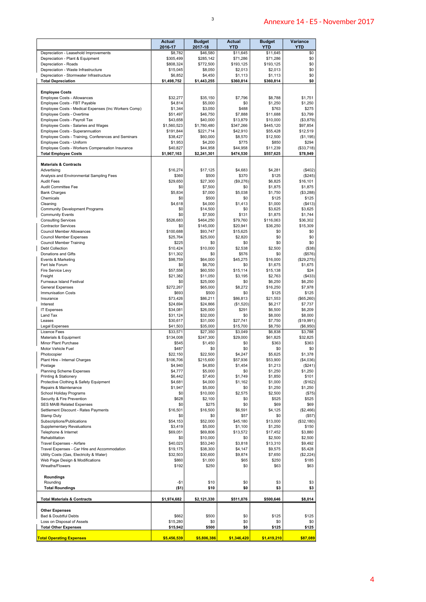|                                                                                          | <b>Actual</b><br>2016-17 | <b>Budget</b><br>2017-18 | <b>Actual</b><br><b>YTD</b> | <b>Budget</b><br><b>YTD</b> | Variance<br><b>YTD</b> |
|------------------------------------------------------------------------------------------|--------------------------|--------------------------|-----------------------------|-----------------------------|------------------------|
| Depreciation - Leasehold Improvements                                                    | \$8,782                  | \$46,580                 | \$11,645                    | \$11,645                    | \$0                    |
| Depreciation - Plant & Equipment<br>Depreciation - Roads                                 | \$305,499<br>\$808,324   | \$285,142<br>\$772,500   | \$71,286<br>\$193,125       | \$71,286<br>\$193,125       | \$0<br>\$0             |
| Depreciation - Waste Infrastructure                                                      | \$15,045                 | \$8,050                  | \$2,013                     | \$2,013                     | \$0                    |
| Depreciation - Stormwater Infrastructure<br><b>Total Depreciation</b>                    | \$6,852<br>\$1,498,752   | \$4,450<br>\$1,443,255   | \$1,113<br>\$360,814        | \$1,113<br>\$360,814        | \$0<br>\$0             |
|                                                                                          |                          |                          |                             |                             |                        |
| <b>Employee Costs</b><br>Employee Costs - Allowances                                     | \$32,277                 | \$35,150                 | \$7,796                     | \$8,788                     | \$1,751                |
| Employee Costs - FBT Payable                                                             | \$4,814                  | \$5,000                  | \$0                         | \$1,250                     | \$1,250                |
| Employee Costs - Medical Expenses (Inc Workers Comp)<br>Employee Costs - Overtime        | \$1,344<br>\$51,497      | \$3,050<br>\$46,750      | \$488<br>\$7,888            | \$763<br>\$11,688           | \$275<br>\$3,799       |
| Employee Costs - Payroll Tax                                                             | \$43,658                 | \$40,000                 | \$13,879                    | \$10,000                    | (\$3,879)              |
| Employee Costs - Salaries and Wages                                                      | \$1,560,523              | \$1,780,480              | \$347,266                   | \$445,120                   | \$97,854               |
| Employee Costs - Superannuation<br>Employee Costs - Training, Conferences and Seminars   | \$191,844<br>\$38,427    | \$221,714<br>\$60,000    | \$42,910<br>\$8,570         | \$55,428<br>\$12,500        | \$12,519<br>(\$1,195)  |
| Employee Costs - Uniform                                                                 | \$1,953                  | \$4,200                  | \$775                       | \$850                       | \$294                  |
| Employee Costs - Workers Compensation Insurance<br><b>Total Employee Costs</b>           | \$40,827<br>\$1,967,163  | \$44,958<br>\$2,241,301  | \$44,958<br>\$474,530       | \$11,239<br>\$557,625       | (\$33,718)<br>\$78,949 |
| <b>Materials &amp; Contracts</b>                                                         |                          |                          |                             |                             |                        |
| Advertising                                                                              | \$16,274                 | \$17,125                 | \$4,683                     | \$4,281                     | (\$402)                |
| Analysis and Environmental Sampling Fees                                                 | \$360                    | \$500                    | \$370                       | \$125                       | (\$245)                |
| <b>Audit Fees</b><br>Audit Committee Fee                                                 | \$29,650<br>\$0          | \$27,300<br>\$7,500      | (\$9,276)<br>\$0            | \$6.825<br>\$1,875          | \$16,101<br>\$1,875    |
| <b>Bank Charges</b>                                                                      | \$5,834                  | \$7,000                  | \$5,038                     | \$1,750                     | (\$3,288)              |
| Chemicals                                                                                | \$0                      | \$500                    | \$0                         | \$125                       | \$125                  |
| Cleaning<br><b>Community Development Programs</b>                                        | \$4,618<br>\$0           | \$4,000<br>\$14,500      | \$1,413<br>\$0              | \$1,000<br>\$3,625          | ( \$413)<br>\$3,625    |
| <b>Community Events</b>                                                                  | \$0                      | \$7,500                  | \$131                       | \$1,875                     | \$1,744                |
| <b>Consulting Services</b>                                                               | \$526,683                | \$464,250                | \$79,760                    | \$116,063                   | \$36,302               |
| <b>Contractor Services</b><br>Council Member Allowances                                  | \$0<br>\$100,688         | \$145,000<br>\$93,747    | \$20,941<br>\$15,625        | \$36,250<br>\$0             | \$15,309<br>\$0        |
| Council Member Expenses                                                                  | \$25,764                 | \$25,000                 | \$2,820                     | \$0                         | \$0                    |
| Council Member Training                                                                  | \$225                    | \$0                      | \$0                         | \$0                         | \$0                    |
| <b>Debt Collection</b>                                                                   | \$10,424                 | \$10,000                 | \$2,538                     | \$2,500                     | (\$38)                 |
| Donations and Gifts<br>Events & Marketing                                                | \$11,302<br>\$98,759     | \$0<br>\$64,000          | \$576<br>\$45,275           | \$0<br>\$16,000             | (\$576)<br>(\$29,275)  |
| Fert Isle Forum                                                                          | \$0                      | \$6,700                  | \$0                         | \$1,675                     | \$1,675                |
| Fire Service Levy                                                                        | \$57,558                 | \$60,550                 | \$15,114                    | \$15,138                    | \$24                   |
| Freight<br>Furneaux Island Festival                                                      | \$21,382<br>\$0          | \$11,050<br>\$25,000     | \$3,195<br>\$0              | \$2,763<br>\$6,250          | ( \$433)<br>\$6,250    |
| <b>General Expenses</b>                                                                  | \$272,267                | \$65,000                 | \$8,272                     | \$16,250                    | \$7,978                |
| <b>Immunisation Costs</b>                                                                | \$693                    | \$500                    | \$0                         | \$125                       | \$125                  |
| Insurance                                                                                | \$73,426                 | \$86,211                 | \$86,813                    | \$21,553                    | (\$65,260)             |
| Interest<br><b>IT Expenses</b>                                                           | \$24,694<br>\$34,081     | \$24,866<br>\$26,000     | (\$1,520)<br>\$291          | \$6,217<br>\$6,500          | \$7,737<br>\$6,209     |
| Land Tax                                                                                 | \$31,124                 | \$32,000                 | \$0                         | \$8,000                     | \$8,000                |
| Leases                                                                                   | \$30,617                 | \$31,000                 | \$27,741                    | \$7,750                     | (\$19,991)             |
| <b>Legal Expenses</b><br>Licence Fees                                                    | \$41,503<br>\$33,571     | \$35,000<br>\$27,350     | \$15,700<br>\$3,049         | \$8,750<br>\$6,838          | (\$6,950)<br>\$3,788   |
| Materials & Equipment                                                                    | \$134,008                | \$247,300                | \$29,000                    | \$61,825                    | \$32,825               |
| Minor Plant Purchase                                                                     | \$545                    | \$1,450                  | \$0                         | \$363                       | \$363                  |
| Motor Vehicle Fuel<br>Photocopier                                                        | \$487<br>\$22,150        | \$0<br>\$22,500          | \$0<br>\$4,247              | \$0<br>\$5,625              | \$0<br>\$1,378         |
| Plant Hire - Internal Charges                                                            | \$106,706                | \$215,600                | \$57,936                    | \$53,900                    | (\$4,036)              |
| Postage                                                                                  | \$4,940                  | \$4,850                  | \$1,454                     | \$1,213                     | (\$241)                |
| <b>Planning Scheme Expenses</b><br>Printing & Stationery                                 | \$4,777<br>\$6,442       | \$5,000<br>\$7,400       | \$0<br>\$1,749              | \$1,250<br>\$1,850          | \$1,250<br>\$101       |
| Protective Clothing & Safety Equipment                                                   | \$4,681                  | \$4,000                  | \$1,162                     | \$1,000                     | (\$162)                |
| Repairs & Maintenance                                                                    | \$1,947                  | \$5,000                  | \$0                         | \$1,250                     | \$1,250                |
| School Holiday Programs                                                                  | \$0                      | \$10,000                 | \$2,575                     | \$2,500                     | (\$75)                 |
| Security & Fire Prevention<br><b>SES MAIB Related Expenses</b>                           | \$628<br>\$0             | \$2,100<br>\$275         | \$0<br>\$0                  | \$525<br>\$69               | \$525<br>\$69          |
| Settlement Discount - Rates Payments                                                     | \$16,501                 | \$16,500                 | \$6,591                     | \$4,125                     | (\$2,466)              |
| Stamp Duty                                                                               | \$0                      | \$0                      | \$57                        | \$0                         | (\$57)                 |
| Subscriptions/Publications<br><b>Supplementary Revaluations</b>                          | \$54,153<br>\$3,419      | \$52,000<br>\$5,000      | \$45,180<br>\$1,100         | \$13,000<br>\$1,250         | (\$32,180)<br>\$150    |
| Telephone & Internet                                                                     | \$69,051                 | \$69,806                 | \$13,572                    | \$17,452                    | \$3,880                |
| Rehabilitation                                                                           | \$0                      | \$10,000                 | \$0                         | \$2,500                     | \$2,500                |
| Travel Expenses - Airfare                                                                | \$40,023                 | \$53,240                 | \$3,818                     | \$13,310                    | \$9,492                |
| Travel Expenses - Car Hire and Accommodation<br>Utility Costs (Gas, Electricity & Water) | \$19,175<br>\$32,503     | \$38,300<br>\$30,600     | \$4,147<br>\$9,874          | \$9,575<br>\$7,650          | \$5,428<br>(\$2,224)   |
| Web Page Design & Modifications                                                          | \$860                    | \$1,000                  | \$65                        | \$250                       | \$185                  |
| Wreaths/Flowers                                                                          | \$192                    | \$250                    | \$0                         | \$63                        | \$63                   |
| Roundings<br>Rounding                                                                    | $-$1$                    | \$10                     | \$0                         | \$3                         | \$3                    |
| <b>Total Roundings</b>                                                                   | (51)                     | \$10                     | \$0                         | \$3                         | \$3                    |
| <b>Total Materials &amp; Contracts</b>                                                   | \$1,974,682              | \$2,121,330              | \$511,076                   | \$500,646                   | \$8,014                |
| <b>Other Expenses</b>                                                                    |                          |                          | \$0                         | \$125                       |                        |
| Bad & Doubtful Debts<br>Loss on Disposal of Assets                                       | \$662<br>\$15,280        | \$500<br>\$0             | \$0                         | \$0                         | \$125<br>\$0           |
|                                                                                          | \$15,942                 | \$500                    | \$0                         | \$125                       | \$125                  |
| <b>Total Other Expenses</b>                                                              |                          |                          |                             |                             |                        |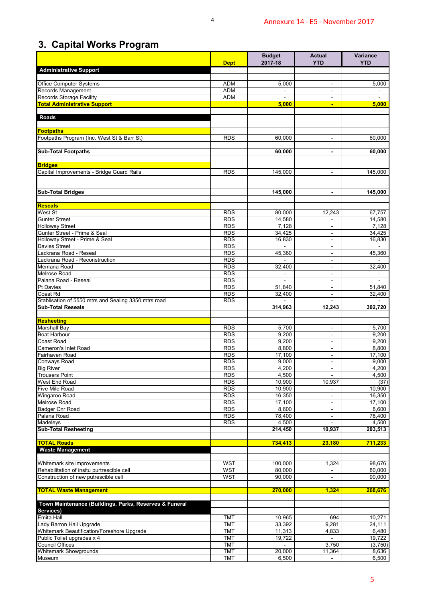# **3. Capital Works Program**

|                                                                                    |                          | <b>Budget</b>       | <b>Actual</b>                                        | <b>Variance</b>  |
|------------------------------------------------------------------------------------|--------------------------|---------------------|------------------------------------------------------|------------------|
| <b>Administrative Support</b>                                                      | <b>Dept</b>              | 2017-18             | <b>YTD</b>                                           | YTD              |
|                                                                                    |                          |                     |                                                      |                  |
| Office Computer Systems<br>Records Management                                      | <b>ADM</b><br><b>ADM</b> | 5,000               | $\blacksquare$<br>$\blacksquare$                     | 5,000            |
| <b>Records Storage Facility</b>                                                    | <b>ADM</b>               | $\blacksquare$      | $\overline{\phantom{a}}$                             |                  |
| <b>Total Administrative Support</b>                                                |                          | 5,000               | $\blacksquare$                                       | 5,000            |
| <b>Roads</b>                                                                       |                          |                     |                                                      |                  |
| <b>Footpaths</b><br>Footpaths Program (Inc. West St & Barr St)                     | <b>RDS</b>               | 60,000              | $\overline{\phantom{a}}$                             | 60,000           |
| <b>Sub-Total Footpaths</b>                                                         |                          | 60,000              | $\blacksquare$                                       | 60,000           |
| <b>Bridges</b>                                                                     |                          |                     |                                                      |                  |
| Capital Improvements - Bridge Guard Rails                                          | <b>RDS</b>               | 145,000             | ÷.                                                   | 145,000          |
|                                                                                    |                          |                     |                                                      |                  |
| <b>Sub-Total Bridges</b>                                                           |                          | 145,000             | $\blacksquare$                                       | 145,000          |
| <b>Reseals</b><br>West St                                                          | <b>RDS</b>               | 80,000              | 12,243                                               | 67,757           |
| <b>Gunter Street</b>                                                               | <b>RDS</b>               | 14,580              |                                                      | 14,580           |
| Holloway Street                                                                    | <b>RDS</b>               | $\overline{7}, 128$ | -                                                    | 7,128            |
| Gunter Street - Prime & Seal                                                       | <b>RDS</b>               | 34,425              | $\blacksquare$                                       | 34,425           |
| Holloway Street - Prime & Seal<br>Davies Street                                    | <b>RDS</b><br><b>RDS</b> | 16,830<br>$\sim$    | $\sim$<br>$\blacksquare$                             | 16,830           |
| Lackrana Road - Reseal                                                             | <b>RDS</b>               | 45,360              | $\blacksquare$                                       | 45,360           |
| Lackrana Road - Reconstruction                                                     | <b>RDS</b>               | $\sim$              | $\blacksquare$                                       |                  |
| Memana Road                                                                        | <b>RDS</b>               | 32,400              | $\blacksquare$                                       | 32,400           |
| Melrose Road                                                                       | <b>RDS</b>               | ÷,                  | ÷.                                                   |                  |
| Palana Road - Reseal                                                               | RDS                      |                     | $\overline{\phantom{a}}$                             |                  |
| <b>Pt Davies</b><br>Coast Rd                                                       | RDS<br><b>RDS</b>        | 51,840<br>32,400    | $\sim$<br>÷.                                         | 51,840<br>32,400 |
| Stablisation of 5550 mtrs and Sealing 3350 mtrs road                               | <b>RDS</b>               |                     |                                                      |                  |
| <b>Sub-Total Reseals</b>                                                           |                          | 314,963             | 12,243                                               | 302,720          |
| Resheeting                                                                         |                          |                     |                                                      |                  |
| <b>Marshall Bay</b>                                                                | <b>RDS</b>               | 5,700               | $\overline{\phantom{a}}$                             | 5,700            |
| <b>Boat Harbour</b>                                                                | <b>RDS</b>               | 9,200               | $\blacksquare$                                       | 9,200            |
| Coast Road<br>Cameron's Inlet Road                                                 | RDS<br><b>RDS</b>        | 9,200<br>8,800      | $\overline{\phantom{a}}$                             | 9,200<br>8,800   |
| Fairhaven Road                                                                     | <b>RDS</b>               | 17,100              | $\overline{\phantom{a}}$                             | 17,100           |
| Conways Road                                                                       | <b>RDS</b>               | 9,000               | $\overline{\phantom{a}}$                             | 9,000            |
| <b>Big River</b>                                                                   | <b>RDS</b>               | 4,200               | $\overline{\phantom{a}}$                             | 4,200            |
| <b>Trousers Point</b>                                                              | <b>RDS</b>               | 4,500               |                                                      | 4,500            |
| West End Road                                                                      | <b>RDS</b>               | 10,900              | 10,937                                               | (37)             |
| Five Mile Road                                                                     | <b>RDS</b>               | 10,900              |                                                      | 10,900           |
| Wingaroo Road<br>Melrose Road                                                      | RDS<br><b>RDS</b>        | 16,350<br>17,100    | $\overline{\phantom{a}}$<br>$\overline{\phantom{a}}$ | 16,350<br>17,100 |
| <b>Badger Cnr Road</b>                                                             | <b>RDS</b>               | 8,600               | $\overline{\phantom{a}}$                             | 8,600            |
| Palana Road                                                                        | <b>RDS</b>               | 78,400              | $\blacksquare$                                       | 78.400           |
| <b>Madeleys</b>                                                                    | <b>RDS</b>               | 4,500               | $\mathbf{r}$                                         | 4,500            |
| <b>Sub-Total Resheeting</b>                                                        |                          | 214,450             | 10,937                                               | 203,513          |
| <b>TOTAL Roads</b><br><b>Waste Management</b>                                      |                          | 734,413             | 23,180                                               | 711,233          |
|                                                                                    |                          |                     |                                                      |                  |
| Whitemark site improvements                                                        | <b>WST</b>               | 100,000             | 1,324                                                | 98,676           |
| Rehabilitation of insitu purtrescible cell<br>Construction of new putrescible cell | <b>WST</b><br><b>WST</b> | 80,000<br>90,000    |                                                      | 80,000<br>90,000 |
| <b>TOTAL Waste Management</b>                                                      |                          | 270,000             | 1,324                                                | 268,676          |
| Town Maintenance (Buildings, Parks, Reserves & Funeral                             |                          |                     |                                                      |                  |
| Services)<br>Emita Hall                                                            | <b>TMT</b>               | 10,965              | 694                                                  |                  |
| Lady Barron Hall Upgrade                                                           | <b>TMT</b>               | 33,392              | 9,281                                                | 10,271<br>24,111 |
| Whitemark Beautification/Foreshore Upgrade                                         | <b>TMT</b>               | 11,313              | 4,833                                                | 6,480            |
| Public Toilet upgrades x 4                                                         | <b>TMT</b>               | 19,722              | $\sim$                                               | 19,722           |
| <b>Council Offices</b>                                                             | <b>TMT</b>               |                     | 3,750                                                | (3,750)          |
| <b>Whitemark Showgrounds</b>                                                       | <b>TMT</b>               | 20,000              | 11,364                                               | 8,636            |
| Museum                                                                             | <b>TMT</b>               | 6,500               |                                                      | 6,500            |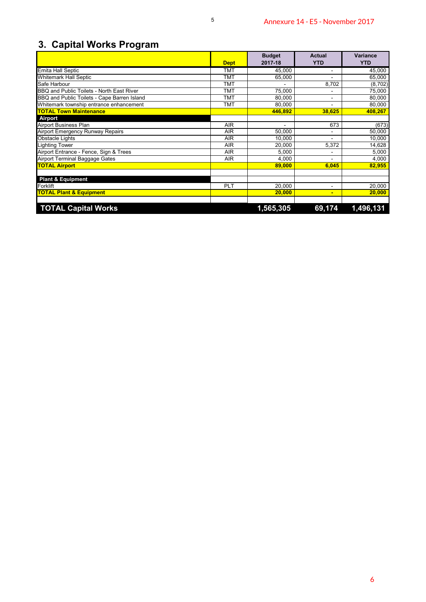# **3. Capital Works Program**

|                                                                                          | <b>Dept</b>              | <b>Budget</b><br>2017-18 | <b>Actual</b><br><b>YTD</b> | Variance<br><b>YTD</b> |
|------------------------------------------------------------------------------------------|--------------------------|--------------------------|-----------------------------|------------------------|
| Emita Hall Septic                                                                        | <b>TMT</b>               | 45,000                   | $\overline{\phantom{a}}$    | 45,000                 |
| Whitemark Hall Septic                                                                    | <b>TMT</b>               | 65,000                   | $\sim$                      | 65,000                 |
| Safe Harbour                                                                             | <b>TMT</b>               | $\bar{\phantom{a}}$      | 8,702                       | (8, 702)               |
| BBQ and Public Toilets - North East River<br>BBQ and Public Toilets - Cape Barren Island | <b>TMT</b><br><b>TMT</b> | 75,000<br>80,000         | $\overline{\phantom{a}}$    | 75,000<br>80,000       |
| Whitemark township entrance enhancement                                                  | <b>TMT</b>               | 80,000                   | $\blacksquare$              | 80,000                 |
| <b>TOTAL Town Maintenance</b>                                                            |                          | 446,892                  | 38,625                      | 408,267                |
| Airport                                                                                  |                          |                          |                             |                        |
| Airport Business Plan                                                                    | <b>AIR</b>               | $\sim$                   | 673                         | (673)                  |
| Airport Emergency Runway Repairs                                                         | AIR                      | 50,000                   | $\blacksquare$              | 50,000                 |
| Obstacle Lights<br><b>Lighting Tower</b>                                                 | AIR<br><b>AIR</b>        | 10,000<br>20,000         | 5,372                       | 10,000<br>14,628       |
| Airport Entrance - Fence, Sign & Trees                                                   | <b>AIR</b>               | 5,000                    | $\sim$                      | 5,000                  |
| Airport Terminal Baggage Gates                                                           | $\sf{AIR}$               | 4,000                    | $\mathbb{L}$                | 4,000                  |
| <b>TOTAL Airport</b>                                                                     |                          | 89,000                   | 6,045                       | 82,955                 |
|                                                                                          |                          |                          |                             |                        |
| <b>Plant &amp; Equipment</b>                                                             |                          |                          |                             |                        |
| Forklift                                                                                 | PLT                      | 20,000<br>20,000         | $\overline{\phantom{a}}$    | 20,000<br>20,000       |
| <b>TOTAL Plant &amp; Equipment</b>                                                       |                          |                          | $\blacksquare$              |                        |
|                                                                                          |                          |                          |                             |                        |
| <b>TOTAL Capital Works</b>                                                               |                          | 1,565,305                | 69,174                      | 1,496,131              |
|                                                                                          |                          |                          |                             |                        |
|                                                                                          |                          |                          |                             |                        |
|                                                                                          |                          |                          |                             |                        |
|                                                                                          |                          |                          |                             |                        |
|                                                                                          |                          |                          |                             |                        |
|                                                                                          |                          |                          |                             |                        |
|                                                                                          |                          |                          |                             |                        |
|                                                                                          |                          |                          |                             |                        |
|                                                                                          |                          |                          |                             |                        |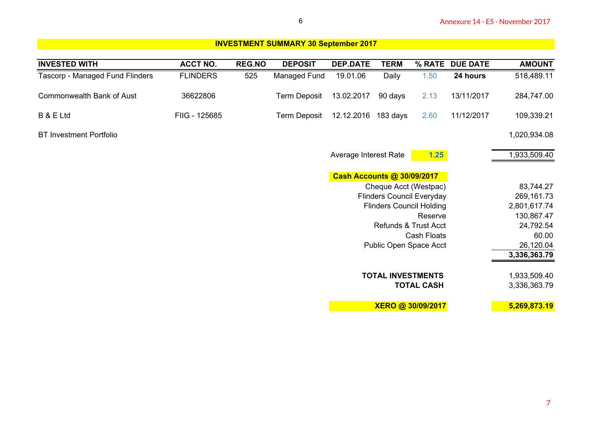| <b>INVESTED WITH</b>             | <b>ACCT NO.</b> | <b>REG.NO</b> | <b>DEPOSIT</b>      | <b>DEP.DATE</b>                   | <b>TERM</b>                      |                    | % RATE DUE DATE | <b>AMOUNT</b> |
|----------------------------------|-----------------|---------------|---------------------|-----------------------------------|----------------------------------|--------------------|-----------------|---------------|
| Tascorp - Managed Fund Flinders  | <b>FLINDERS</b> | 525           | Managed Fund        | 19.01.06                          | Daily                            | 1.50               | 24 hours        | 518,489.11    |
| <b>Commonwealth Bank of Aust</b> | 36622806        |               | <b>Term Deposit</b> | 13.02.2017                        | 90 days                          | 2.13               | 13/11/2017      | 284,747.00    |
| B & E Ltd                        | FIIG - 125685   |               | <b>Term Deposit</b> | 12.12.2016 183 days               |                                  | 2.60               | 11/12/2017      | 109,339.21    |
| <b>BT Investment Portfolio</b>   |                 |               |                     |                                   |                                  |                    |                 | 1,020,934.08  |
|                                  |                 |               |                     | Average Interest Rate             |                                  | 1.25               |                 | 1,933,509.40  |
|                                  |                 |               |                     | <b>Cash Accounts @ 30/09/2017</b> |                                  |                    |                 |               |
|                                  |                 |               |                     |                                   | Cheque Acct (Westpac)            |                    |                 | 83,744.27     |
|                                  |                 |               |                     |                                   | <b>Flinders Council Everyday</b> |                    |                 | 269,161.73    |
|                                  |                 |               |                     |                                   | <b>Flinders Council Holding</b>  |                    |                 | 2,801,617.74  |
|                                  |                 |               |                     |                                   |                                  | Reserve            |                 | 130,867.47    |
|                                  |                 |               |                     |                                   | <b>Refunds &amp; Trust Acct</b>  |                    |                 | 24,792.54     |
|                                  |                 |               |                     |                                   |                                  | <b>Cash Floats</b> |                 | 60.00         |
|                                  |                 |               |                     |                                   | Public Open Space Acct           |                    |                 | 26,120.04     |
|                                  |                 |               |                     |                                   |                                  |                    |                 | 3,336,363.79  |
|                                  |                 |               |                     |                                   | <b>TOTAL INVESTMENTS</b>         |                    |                 | 1,933,509.40  |
|                                  |                 |               |                     |                                   |                                  | <b>TOTAL CASH</b>  |                 | 3,336,363.79  |
|                                  |                 |               |                     |                                   | XERO @ 30/09/2017                |                    |                 | 5,269,873.19  |
|                                  |                 |               |                     |                                   |                                  |                    |                 |               |
|                                  |                 |               |                     |                                   |                                  |                    |                 |               |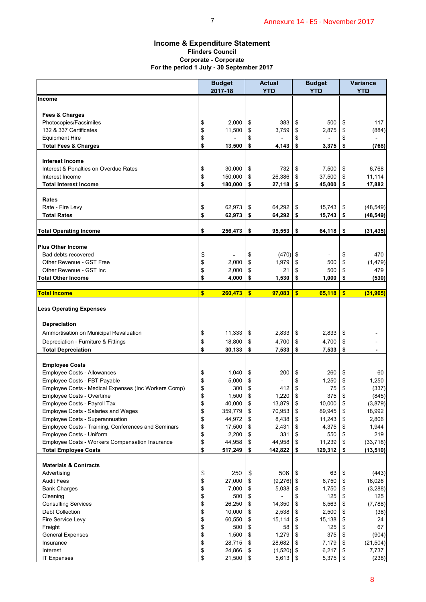### **Income & Expenditure Statement Flinders Council Corporate - Corporate For the period 1 July - 30 September 2017**

|                                                                                        |                         |                                                         |          | Annexure 14 - E5 - November 2017 |            |                   |          |                                                                                                                                            |
|----------------------------------------------------------------------------------------|-------------------------|---------------------------------------------------------|----------|----------------------------------|------------|-------------------|----------|--------------------------------------------------------------------------------------------------------------------------------------------|
| <b>Income &amp; Expenditure Statement</b><br>For the period 1 July - 30 September 2017 |                         | <b>Flinders Council</b><br><b>Corporate - Corporate</b> |          |                                  |            |                   |          |                                                                                                                                            |
|                                                                                        |                         | <b>Budget</b>                                           |          | <b>Actual</b>                    |            | <b>Budget</b>     |          | <b>Variance</b>                                                                                                                            |
|                                                                                        |                         | 2017-18                                                 |          | <b>YTD</b>                       |            | <b>YTD</b>        |          | <b>YTD</b>                                                                                                                                 |
| <b>Income</b>                                                                          |                         |                                                         |          |                                  |            |                   |          |                                                                                                                                            |
| Fees & Charges                                                                         |                         |                                                         |          |                                  |            |                   |          |                                                                                                                                            |
| Photocopies/Facsimiles                                                                 | \$                      | 2,000                                                   | \$       | 383                              | \$         | 500               | \$       | 117                                                                                                                                        |
| 132 & 337 Certificates                                                                 | \$                      | 11,500                                                  | \$       | 3,759                            | \$         | 2,875             | \$       | (884)                                                                                                                                      |
| <b>Equipment Hire</b>                                                                  | \$<br>\$                |                                                         | \$<br>\$ | 4,143                            | \$<br>\$   |                   | \$       | (768)                                                                                                                                      |
| <b>Total Fees &amp; Charges</b>                                                        |                         | 13,500                                                  |          |                                  |            | 3,375             | \$       |                                                                                                                                            |
| <b>Interest Income</b>                                                                 |                         |                                                         |          |                                  |            |                   |          |                                                                                                                                            |
| Interest & Penalties on Overdue Rates                                                  | \$                      | 30,000                                                  | \$       | 732                              | \$         | 7,500             | \$       | 6,768                                                                                                                                      |
| Interest Income                                                                        | \$                      | 150,000                                                 | \$       | 26,386                           | \$         | 37,500            | \$       | 11,114                                                                                                                                     |
| <b>Total Interest Income</b>                                                           | \$                      | 180,000                                                 | \$       | 27,118                           | \$         | 45,000            | \$       | 17,882                                                                                                                                     |
| Rates                                                                                  |                         |                                                         |          |                                  |            |                   |          |                                                                                                                                            |
| Rate - Fire Levy                                                                       | \$                      | 62,973                                                  | \$       | 64,292                           | \$         | 15,743            | \$       | (48, 549)                                                                                                                                  |
| <b>Total Rates</b>                                                                     | \$                      | 62,973                                                  | \$       | 64,292                           | \$         | 15,743            | \$       | (48, 549)                                                                                                                                  |
|                                                                                        |                         |                                                         |          |                                  |            |                   |          |                                                                                                                                            |
| <b>Total Operating Income</b>                                                          | \$                      | 256,473                                                 | \$       | 95,553                           | \$         | 64,118            | \$       | (31, 435)                                                                                                                                  |
| <b>Plus Other Income</b>                                                               |                         |                                                         |          |                                  |            |                   |          |                                                                                                                                            |
| Bad debts recovered                                                                    | \$                      |                                                         | \$       | (470)                            | \$         |                   | \$       | 470                                                                                                                                        |
| Other Revenue - GST Free                                                               | \$                      | 2,000                                                   | \$       | 1,979                            | \$         | 500               | \$       | (1, 479)                                                                                                                                   |
| Other Revenue - GST Inc                                                                | \$                      | 2,000                                                   | \$       | 21                               | \$         | 500               | \$       | 479                                                                                                                                        |
| <b>Total Other Income</b>                                                              | \$                      | 4,000                                                   | \$       | 1,530                            | \$         | 1,000             | \$       | (530)                                                                                                                                      |
| <b>Total Income</b>                                                                    | $\overline{\mathbf{s}}$ | 260,473                                                 | \$       | 97,083                           | \$         | 65,118            | \$       | (31, 965)                                                                                                                                  |
| <b>Less Operating Expenses</b>                                                         |                         |                                                         |          |                                  |            |                   |          |                                                                                                                                            |
|                                                                                        |                         |                                                         |          |                                  |            |                   |          |                                                                                                                                            |
|                                                                                        |                         |                                                         |          |                                  |            |                   |          |                                                                                                                                            |
| Depreciation                                                                           |                         |                                                         |          |                                  |            |                   |          |                                                                                                                                            |
| Ammortisation on Municipal Revaluation                                                 | \$                      | 11,333                                                  | \$       | 2,833                            | \$         | 2,833             | \$       |                                                                                                                                            |
| Depreciation - Furniture & Fittings                                                    | \$                      | 18,800                                                  | \$<br>\$ | 4,700                            | \$<br>\$   | 4,700             | \$<br>\$ |                                                                                                                                            |
| <b>Total Depreciation</b>                                                              | \$                      | 30,133                                                  |          | 7,533                            |            | 7,533             |          |                                                                                                                                            |
| <b>Employee Costs</b>                                                                  |                         |                                                         |          |                                  |            |                   |          |                                                                                                                                            |
| Employee Costs - Allowances                                                            | \$                      | 1,040                                                   | \$       | 200                              | \$         | 260               | \$       | 60                                                                                                                                         |
| Employee Costs - FBT Payable                                                           | \$                      | 5,000                                                   | \$       |                                  | \$         | 1,250             | \$       |                                                                                                                                            |
| Employee Costs - Medical Expenses (Inc Workers Comp)                                   | \$                      | 300                                                     | \$       | 412                              | \$         | 75                | \$       |                                                                                                                                            |
| Employee Costs - Overtime                                                              | \$                      | 1,500                                                   | \$       | 1,220                            | \$         | 375               | \$       |                                                                                                                                            |
| Employee Costs - Payroll Tax                                                           | \$                      | 40,000                                                  | \$       | 13,879                           | \$         | 10,000            | \$       |                                                                                                                                            |
| Employee Costs - Salaries and Wages<br>Employee Costs - Superannuation                 | \$<br>\$                | 359,779<br>44,972                                       | \$<br>\$ | 70,953<br>8,438                  | \$<br>\$   | 89,945<br>11,243  | \$<br>\$ |                                                                                                                                            |
| Employee Costs - Training, Conferences and Seminars                                    | \$                      | 17,500                                                  | \$       | 2,431                            | \$         | 4,375             | \$       |                                                                                                                                            |
| Employee Costs - Uniform                                                               | \$                      | 2,200                                                   | \$       | 331                              | \$         | 550               | \$       |                                                                                                                                            |
| Employee Costs - Workers Compensation Insurance                                        | \$                      | 44,958                                                  | \$       | 44,958                           | \$         | 11,239            | \$       |                                                                                                                                            |
| <b>Total Employee Costs</b>                                                            | \$                      | 517,249                                                 | \$       | 142,822                          | \$         | 129,312           | \$       |                                                                                                                                            |
|                                                                                        |                         |                                                         |          |                                  |            |                   |          |                                                                                                                                            |
| <b>Materials &amp; Contracts</b><br>Advertising                                        | \$                      | 250                                                     | \$       | 506                              | \$         | 63                | \$       |                                                                                                                                            |
| <b>Audit Fees</b>                                                                      | \$                      | 27,000                                                  | \$       | (9,276)                          | $\sqrt{3}$ | 6,750             | \$       | 1,250<br>18,992<br>2,806<br>1,944<br>219                                                                                                   |
| <b>Bank Charges</b>                                                                    | \$                      | 7,000                                                   | \$       | 5,038                            | \$         | 1,750             | \$       |                                                                                                                                            |
| Cleaning                                                                               | \$                      | 500                                                     | \$       |                                  | \$         | 125               | \$       | 125                                                                                                                                        |
| <b>Consulting Services</b>                                                             | \$                      | 26,250                                                  | \$       | 14,350                           | \$         | 6,563             | \$       |                                                                                                                                            |
| <b>Debt Collection</b>                                                                 | \$                      | 10,000                                                  | \$       | 2,538                            | \$         | 2,500             | \$       |                                                                                                                                            |
| Fire Service Levy                                                                      | \$                      | 60,550                                                  | \$       | 15,114                           | \$         | 15,138            | \$       |                                                                                                                                            |
| Freight                                                                                | \$                      | 500                                                     | \$       | 58                               | \$         | 125               | \$       | 67                                                                                                                                         |
| <b>General Expenses</b><br>Insurance                                                   | \$<br>\$                | 1,500<br>28,715                                         | \$<br>\$ | 1,279<br>28,682                  | \$<br>\$   | 375<br>7,179      | \$<br>\$ |                                                                                                                                            |
| Interest                                                                               | \$                      | 24,866                                                  | \$       | $(1,520)$ \$                     |            | 6,217<br>5,375 \$ | \$       | (337)<br>(845)<br>(3,879)<br>(33, 718)<br>(13, 510)<br>(443)<br>16,026<br>(3, 288)<br>(7,788)<br>(38)<br>24<br>(904)<br>(21, 504)<br>7,737 |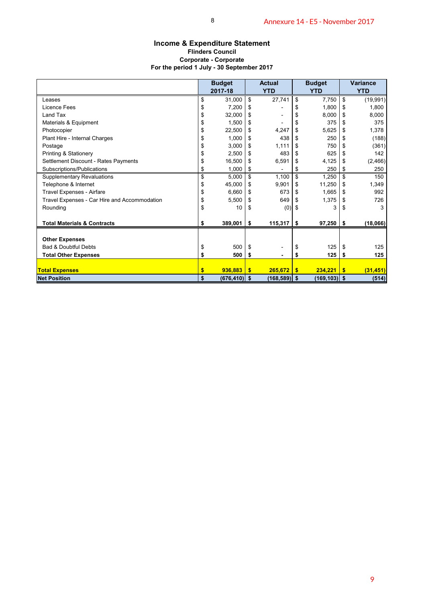### **Income & Expenditure Statement Flinders Council Corporate - Corporate For the period 1 July - 30 September 2017**

|                                                   |                     | 8                            |                    |                            |                                              | Annexure 14 - E5 - November 2017 |                       |                    |
|---------------------------------------------------|---------------------|------------------------------|--------------------|----------------------------|----------------------------------------------|----------------------------------|-----------------------|--------------------|
|                                                   |                     |                              |                    |                            |                                              |                                  |                       |                    |
| <b>Income &amp; Expenditure Statement</b>         |                     | <b>Flinders Council</b>      |                    |                            |                                              |                                  |                       |                    |
|                                                   |                     | <b>Corporate - Corporate</b> |                    |                            |                                              |                                  |                       |                    |
| For the period 1 July - 30 September 2017         |                     |                              |                    |                            |                                              |                                  |                       |                    |
|                                                   |                     | <b>Budget</b>                |                    | <b>Actual</b>              |                                              | <b>Budget</b>                    |                       | Variance           |
|                                                   |                     | 2017-18                      |                    | <b>YTD</b>                 |                                              | <b>YTD</b>                       |                       | <b>YTD</b>         |
| Leases                                            | \$                  | 31,000                       | $\mathbb{S}$       | 27,741                     | $\overline{\boldsymbol{\theta}}$             | 7,750                            | $\boldsymbol{\theta}$ | (19, 991)          |
| <b>Licence Fees</b>                               | \$                  | 7,200                        | \$                 |                            | \$                                           | 1,800                            | \$                    | 1,800              |
| Land Tax                                          | \$                  | 32,000                       | \$                 | $\overline{\phantom{a}}$   | \$                                           | 8,000                            | $\,$                  | 8,000              |
| Materials & Equipment                             | \$                  | 1,500<br>22,500              | \$<br>\$           | $\overline{\phantom{a}}$   | \$                                           | 375<br>5,625                     | \$                    | 375<br>1,378       |
| Photocopier<br>Plant Hire - Internal Charges      | \$<br>\$            | 1,000                        | \$                 | 4,247<br>438               | \$<br>\$                                     | 250                              | \$<br>\$              | (188)              |
| Postage                                           | \$                  | 3,000                        | \$                 | 1,111                      | $\pmb{\mathfrak{z}}$                         | 750                              | \$                    | (361)              |
| Printing & Stationery                             | \$                  | 2,500                        | \$                 | 483                        | $\pmb{\mathfrak{s}}$                         | 625                              | \$                    | 142                |
| Settlement Discount - Rates Payments              | \$                  | 16,500                       | \$                 | 6,591                      | \$                                           | 4,125                            | \$                    | (2, 466)           |
| Subscriptions/Publications                        | \$                  | 1,000                        | \$                 | $\blacksquare$             | \$                                           | 250                              | \$                    | 250                |
| <b>Supplementary Revaluations</b>                 | \$                  | 5,000                        | $\bullet$          | 1,100                      | $\overline{\mathcal{L}}$                     | 1,250                            | $\overline{\$}$       | 150                |
| Telephone & Internet<br>Travel Expenses - Airfare | \$<br>\$            | 45,000<br>6,660              | \$<br>\$           | 9,901<br>673               | $\pmb{\mathfrak{z}}$<br>$\pmb{\mathfrak{s}}$ | 11,250<br>1,665                  | \$<br>\$              | 1,349<br>992       |
| Travel Expenses - Car Hire and Accommodation      | \$                  | 5,500                        | \$                 | 649                        | \$                                           | 1,375                            | \$                    | 726                |
| Rounding                                          | \$                  | 10                           | \$                 | $(0)$ \$                   |                                              | 3                                | \$                    | 3                  |
|                                                   |                     |                              |                    |                            |                                              |                                  |                       |                    |
| <b>Total Materials &amp; Contracts</b>            | \$                  | 389,001                      | $\pmb{\mathsf{s}}$ | 115,317                    | $\sqrt[6]{3}$                                | 97,250                           | \$                    | (18,066)           |
| <b>Other Expenses</b>                             |                     |                              |                    |                            |                                              |                                  |                       |                    |
| Bad & Doubtful Debts                              | \$                  | 500                          | \$                 |                            | \$                                           | 125                              | \$                    | 125                |
| <b>Total Other Expenses</b>                       | \$                  | 500                          | \$                 | L.                         | \$                                           | 125                              | \$                    | 125                |
|                                                   |                     |                              |                    |                            |                                              |                                  |                       |                    |
| <b>Total Expenses</b><br><b>Net Position</b>      | $\sqrt[6]{3}$<br>\$ | 936,883<br>$(676, 410)$ \$   | $\sqrt{2}$         | 265,672<br>$(168, 589)$ \$ | $\sqrt[6]{3}$                                | 234,221<br>$(169, 103)$ \$       | $\frac{1}{2}$         | (31, 451)<br>(514) |
|                                                   |                     |                              |                    |                            |                                              |                                  |                       |                    |
|                                                   |                     |                              |                    |                            |                                              |                                  |                       |                    |
|                                                   |                     |                              |                    |                            |                                              |                                  |                       |                    |
|                                                   |                     |                              |                    |                            |                                              |                                  |                       |                    |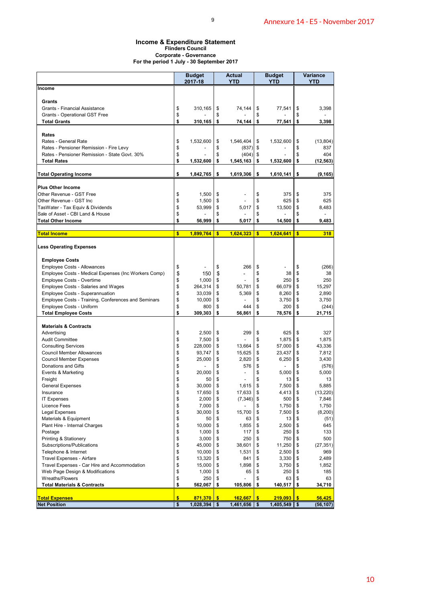### 9

### **Income & Expenditure Statement Flinders Council Corporate - Governance For the period 1 July - 30 September 2017**

|                                                                                     |          | <b>Budget</b>    |          | <b>Actual</b>            |               | Budget                                |               | Variance           |
|-------------------------------------------------------------------------------------|----------|------------------|----------|--------------------------|---------------|---------------------------------------|---------------|--------------------|
| Income                                                                              |          | 2017-18          |          | YTD                      |               | <b>YTD</b>                            |               | YTD                |
|                                                                                     |          |                  |          |                          |               |                                       |               |                    |
| Grants<br><b>Grants - Financial Assistance</b>                                      | \$       | 310,165          | \$       | 74,144                   | \$            | 77,541                                | \$            | 3,398              |
| Grants - Operational GST Free                                                       | \$       |                  | \$       |                          | \$            |                                       | \$            |                    |
| <b>Total Grants</b>                                                                 | \$       | 310,165          | \$       | 74,144                   | \$            | 77,541                                | \$            | 3,398              |
| Rates                                                                               |          |                  |          |                          |               |                                       |               |                    |
| Rates - General Rate<br>Rates - Pensioner Remission - Fire Levy                     | \$<br>\$ | 1,532,600        | \$<br>\$ | 1,546,404<br>$(837)$ \$  | \$            | 1,532,600<br>$\overline{\phantom{a}}$ | \$<br>\$      | (13, 804)<br>837   |
| Rates - Pensioner Remission - State Govt. 30%                                       | \$       |                  | \$       | (404)                    | \$            |                                       | \$            | 404                |
| <b>Total Rates</b>                                                                  | \$       | 1,532,600        | \$       | 1,545,163                | \$            | 1,532,600                             | \$            | (12, 563)          |
| <b>Total Operating Income</b>                                                       | \$       | 1,842,765        | -\$      | 1,619,306                | \$            | 1,610,141                             | \$            | (9, 165)           |
| <b>Plus Other Income</b>                                                            |          |                  |          |                          |               |                                       |               |                    |
| Other Revenue - GST Free                                                            | \$       | 1,500            | \$       | $\overline{\phantom{a}}$ | \$            | 375                                   | \$            | 375                |
| Other Revenue - GST Inc                                                             | \$       | 1,500            | \$       |                          | \$            | 625                                   | \$            | 625                |
| TasWater - Tax Equiv & Dividends<br>Sale of Asset - CBI Land & House                | \$<br>\$ | 53,999           | \$<br>\$ | 5,017                    | \$<br>\$      | 13,500                                | \$<br>\$      | 8,483              |
| <b>Total Other Income</b>                                                           | \$       | 56,999           | \$       | 5,017                    | \$            | 14,500                                | \$            | 9,483              |
| <b>Total Income</b>                                                                 | \$       | 1,899,764        | \$       | 1,624,323                | \$            | 1,624,641                             | \$            | 318                |
|                                                                                     |          |                  |          |                          |               |                                       |               |                    |
| <b>Less Operating Expenses</b>                                                      |          |                  |          |                          |               |                                       |               |                    |
| <b>Employee Costs</b>                                                               |          |                  |          |                          |               |                                       |               |                    |
| Employee Costs - Allowances<br>Employee Costs - Medical Expenses (Inc Workers Comp) | \$<br>\$ | 150              | \$<br>\$ | 266<br>÷                 | \$<br>\$      | L,<br>38                              | \$<br>\$      | (266)<br>38        |
| Employee Costs - Overtime                                                           | \$       | 1,000            | \$       |                          | \$            | 250                                   | \$            | 250                |
| Employee Costs - Salaries and Wages                                                 | \$       | 264,314          | \$       | 50,781                   | \$            | 66,079                                | \$            | 15,297             |
| Employee Costs - Superannuation                                                     | \$       | 33,039           | \$       | 5,369                    | \$            | 8,260                                 | \$            | 2,890              |
| Employee Costs - Training, Conferences and Seminars                                 | \$       | 10,000           | \$       |                          | \$            | 3,750                                 | \$            | 3,750              |
| Employee Costs - Uniform                                                            | \$       | 800              | \$       | 444                      | \$            | 200                                   | \$            | (244)              |
| <b>Total Employee Costs</b>                                                         | \$       | 309,303          | \$       | 56,861                   | \$            | 78,576                                | \$            | 21,715             |
| <b>Materials &amp; Contracts</b>                                                    |          |                  |          |                          |               |                                       |               |                    |
| Advertising                                                                         | \$       | 2,500            | \$<br>\$ | 299                      | \$<br>\$      | 625                                   | -\$           | 327<br>1,875       |
| Audit Committee<br><b>Consulting Services</b>                                       | \$<br>\$ | 7,500<br>228,000 | \$       | 13,664                   | \$            | 1,875<br>57,000                       | \$<br>\$      | 43,336             |
| <b>Council Member Allowances</b>                                                    | \$       | 93,747           | \$       | 15,625                   | \$            | 23,437                                | \$            | 7,812              |
| <b>Council Member Expenses</b>                                                      | \$       | 25,000           | \$       | 2,820                    | \$            | 6,250                                 | \$            | 3,430              |
| Donations and Gifts                                                                 | \$       |                  | \$       | 576                      | \$            | $\overline{\phantom{a}}$              | \$            | (576)              |
| Events & Marketing                                                                  | \$       | 20,000           | \$       |                          | \$            | 5,000                                 | \$            | 5,000              |
| Freight                                                                             | \$       | 50               | \$       |                          | \$            | 13                                    | \$            | 13                 |
| <b>General Expenses</b><br>Insurance                                                | \$<br>\$ | 30,000<br>17,650 | \$<br>\$ | 1,615<br>17,633          | \$<br>\$      | 7,500<br>4,413                        | \$<br>\$      | 5,885<br>(13, 220) |
| <b>IT Expenses</b>                                                                  | \$       | 2,000            | \$       | (7, 346)                 | \$            | 500                                   | \$            | 7,846              |
| <b>Licence Fees</b>                                                                 | \$       | 7,000            | \$       |                          | \$            | 1,750                                 | \$            | 1,750              |
| <b>Legal Expenses</b>                                                               | \$       | 30,000           | \$       | 15,700                   | \$            | 7,500                                 | \$            | (8,200)            |
| Materials & Equipment                                                               | \$       | 50               | \$       | 63                       | \$            | 13                                    | \$            | (51)               |
| Plant Hire - Internal Charges<br>Postage                                            | \$<br>\$ | 10,000<br>1,000  | \$<br>\$ | 1,855<br>117             | \$<br>\$      | 2,500<br>250                          | \$<br>\$      | 645<br>133         |
| Printing & Stationery                                                               | \$       | 3,000            | \$       | 250                      | \$            | 750                                   | \$            | 500                |
| Subscriptions/Publications                                                          | \$       | 45,000           | \$       | 38,601                   | \$            | 11,250                                | \$            | (27, 351)          |
| Telephone & Internet                                                                | \$       | 10,000           | \$       | 1,531                    | \$            | 2,500                                 | \$            | 969                |
| Travel Expenses - Airfare                                                           | \$       | 13,320           | \$       | 841                      | \$            | 3,330                                 | \$            | 2,489              |
| Travel Expenses - Car Hire and Accommodation                                        | \$<br>\$ | 15,000<br>1,000  | \$<br>\$ | 1,898                    | \$<br>\$      | 3,750<br>250                          | \$<br>\$      | 1,852<br>185       |
| Web Page Design & Modifications<br>Wreaths/Flowers                                  | \$       | 250              | \$       | 65                       | \$            | 63                                    | \$            | 63                 |
| <b>Total Materials &amp; Contracts</b>                                              | \$       | 562,067          | \$       | 105,806                  | \$            | 140,517                               | \$            | 34,710             |
| <b>Total Expenses</b>                                                               | \$       | $871,370$ \$     |          | 162,667                  | $\frac{1}{2}$ | 219,093                               | $\frac{1}{2}$ | 56,425             |
| <b>Net Position</b>                                                                 | \$       | $1,028,394$ \$   |          | $1,461,656$ \$           |               | 1,405,549                             | -\$           | (56, 107)          |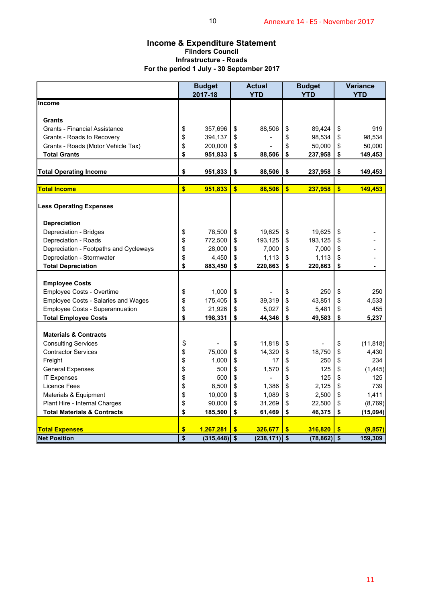### **Income & Expenditure Statement Flinders Council Infrastructure - Roads For the period 1 July - 30 September 2017**

| <b>Income &amp; Expenditure Statement</b>                                                             |                 |                 |               |                 |               |                |               |                 |  |  |  |  |  |
|-------------------------------------------------------------------------------------------------------|-----------------|-----------------|---------------|-----------------|---------------|----------------|---------------|-----------------|--|--|--|--|--|
| <b>Flinders Council</b><br><b>Infrastructure - Roads</b><br>For the period 1 July - 30 September 2017 |                 |                 |               |                 |               |                |               |                 |  |  |  |  |  |
|                                                                                                       |                 | <b>Budget</b>   |               | <b>Actual</b>   |               | <b>Budget</b>  |               | <b>Variance</b> |  |  |  |  |  |
| <b>Income</b>                                                                                         |                 | 2017-18         |               | <b>YTD</b>      |               | <b>YTD</b>     |               | <b>YTD</b>      |  |  |  |  |  |
|                                                                                                       |                 |                 |               |                 |               |                |               |                 |  |  |  |  |  |
| <b>Grants</b><br><b>Grants - Financial Assistance</b>                                                 | \$              | 357,696         | \$            | 88,506          | \$            | 89,424         | \$            | 919             |  |  |  |  |  |
| Grants - Roads to Recovery                                                                            | \$              | 394,137         | \$            |                 | \$            | 98,534         | \$            | 98,534          |  |  |  |  |  |
| Grants - Roads (Motor Vehicle Tax)                                                                    | \$              | 200,000         | \$            |                 | \$            | 50,000         | \$            | 50,000          |  |  |  |  |  |
| <b>Total Grants</b>                                                                                   | \$              | 951,833         | \$            | 88,506          | \$            | 237,958        | \$            | 149,453         |  |  |  |  |  |
| <b>Total Operating Income</b>                                                                         | \$              | 951,833         | \$            | 88,506          | \$            | 237,958        | \$            | 149,453         |  |  |  |  |  |
| <b>Total Income</b>                                                                                   | \$              | 951,833         | $\frac{1}{2}$ | 88,506          | $\sqrt[6]{3}$ | 237,958        | \$            | 149,453         |  |  |  |  |  |
|                                                                                                       |                 |                 |               |                 |               |                |               |                 |  |  |  |  |  |
| <b>Less Operating Expenses</b>                                                                        |                 |                 |               |                 |               |                |               |                 |  |  |  |  |  |
| <b>Depreciation</b>                                                                                   |                 |                 |               |                 |               |                |               |                 |  |  |  |  |  |
| Depreciation - Bridges                                                                                | \$              | 78,500          | \$            | 19,625          | \$            | 19,625         | \$            |                 |  |  |  |  |  |
| Depreciation - Roads                                                                                  | \$              | 772,500         | \$            | 193,125         | \$            | 193,125        | \$            |                 |  |  |  |  |  |
| Depreciation - Footpaths and Cycleways                                                                | \$              | 28,000          | \$            | 7,000           | \$            | 7,000          | \$            |                 |  |  |  |  |  |
| Depreciation - Stormwater                                                                             | \$              | 4,450           | \$            | 1,113           | \$            | 1,113          | \$            |                 |  |  |  |  |  |
| <b>Total Depreciation</b>                                                                             | \$              | 883,450         | \$            | 220,863         | \$            | 220,863        | \$            |                 |  |  |  |  |  |
| <b>Employee Costs</b>                                                                                 |                 |                 |               |                 |               |                |               |                 |  |  |  |  |  |
| Employee Costs - Overtime                                                                             | \$              | 1,000           | \$            |                 | \$            | 250            | \$            | 250             |  |  |  |  |  |
| Employee Costs - Salaries and Wages                                                                   | \$              | 175,405         | \$            | 39,319          | \$            | 43,851         | \$            | 4,533           |  |  |  |  |  |
| Employee Costs - Superannuation                                                                       | \$              | 21,926          | \$            | 5,027           | \$            | 5,481          | \$            | 455             |  |  |  |  |  |
| <b>Total Employee Costs</b>                                                                           | \$              | 198,331         | \$            | 44,346          | \$            | 49,583         | \$            | 5,237           |  |  |  |  |  |
| <b>Materials &amp; Contracts</b>                                                                      |                 |                 |               |                 |               |                |               |                 |  |  |  |  |  |
| <b>Consulting Services</b>                                                                            | \$              |                 | \$            | 11,818          | \$            |                | \$            | (11, 818)       |  |  |  |  |  |
| <b>Contractor Services</b>                                                                            | \$              | 75,000          | \$            | 14,320          | \$            | 18,750         | \$            | 4,430           |  |  |  |  |  |
| Freight                                                                                               | \$              | 1,000           | \$            | 17              | \$            | 250            | \$            | 234             |  |  |  |  |  |
| <b>General Expenses</b>                                                                               | \$              | 500             | \$            | 1,570           | \$            | 125            | \$            | (1, 445)        |  |  |  |  |  |
| <b>IT Expenses</b>                                                                                    | \$              | 500             | \$            |                 | \$            | 125            | \$            | 125             |  |  |  |  |  |
| Licence Fees                                                                                          | \$              | 8,500           | \$            | 1,386           | \$            | 2,125          | \$            | 739             |  |  |  |  |  |
| Materials & Equipment                                                                                 | \$              | 10,000          | \$            | 1,089           | \$            | 2,500          | \$            | 1,411           |  |  |  |  |  |
| Plant Hire - Internal Charges                                                                         | \$              | 90,000          | \$            | 31,269          | \$            | 22,500         | \$            | (8,769)         |  |  |  |  |  |
| <b>Total Materials &amp; Contracts</b>                                                                | \$              | 185,500         | \$            | 61,469          | \$            | 46,375         | \$            | (15, 094)       |  |  |  |  |  |
| <b>Total Expenses</b>                                                                                 | \$              | 1,267,281       | $\frac{1}{2}$ | 326,677         | $\frac{1}{2}$ | 316,820        | $\sqrt[6]{3}$ | (9, 857)        |  |  |  |  |  |
| <b>Net Position</b>                                                                                   | $\overline{\$}$ | $(315, 448)$ \$ |               | $(238, 171)$ \$ |               | $(78, 862)$ \$ |               | 159,309         |  |  |  |  |  |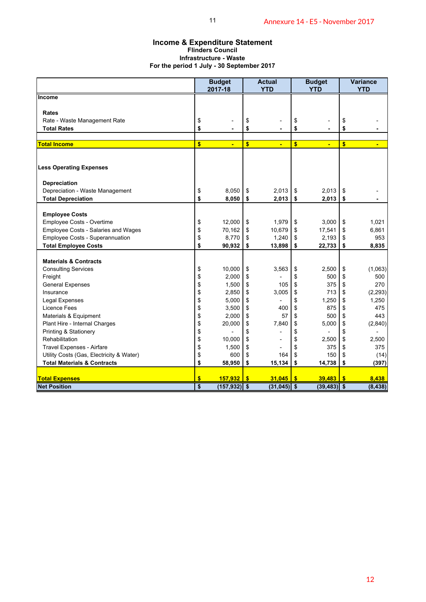### **Income & Expenditure Statement Flinders Council Infrastructure - Waste For the period 1 July - 30 September 2017**

| <b>Income &amp; Expenditure Statement</b><br>For the period 1 July - 30 September 2017 |           | 11<br><b>Flinders Council</b><br><b>Infrastructure - Waste</b> |          |                                   |          | Annexure 14 - E5 - November 2017  |          |                                   |
|----------------------------------------------------------------------------------------|-----------|----------------------------------------------------------------|----------|-----------------------------------|----------|-----------------------------------|----------|-----------------------------------|
|                                                                                        |           | <b>Budget</b><br>2017-18                                       |          | <b>Actual</b><br><b>YTD</b>       |          | <b>Budget</b><br><b>YTD</b>       |          | <b>Variance</b><br><b>YTD</b>     |
| Income                                                                                 |           |                                                                |          |                                   |          |                                   |          |                                   |
|                                                                                        |           |                                                                |          |                                   |          |                                   |          |                                   |
| Rates<br>Rate - Waste Management Rate                                                  | \$        |                                                                | \$       |                                   | \$       |                                   | \$       |                                   |
| <b>Total Rates</b>                                                                     | \$        |                                                                | \$       | ٠                                 | \$       | ۰                                 | \$       |                                   |
|                                                                                        |           |                                                                |          |                                   |          |                                   |          |                                   |
| <b>Total Income</b>                                                                    | \$        | $\blacksquare$                                                 | \$       | Ξ                                 | \$       | ÷                                 | \$       | $\blacksquare$                    |
| <b>Less Operating Expenses</b>                                                         |           |                                                                |          |                                   |          |                                   |          |                                   |
| Depreciation                                                                           |           |                                                                |          |                                   |          |                                   |          |                                   |
| Depreciation - Waste Management<br><b>Total Depreciation</b>                           | \$<br>\$  | 8,050<br>8,050                                                 | \$<br>\$ | 2,013<br>2,013                    | \$<br>\$ | 2,013<br>2,013                    | \$<br>\$ |                                   |
|                                                                                        |           |                                                                |          |                                   |          |                                   |          |                                   |
| <b>Employee Costs</b>                                                                  |           |                                                                |          |                                   |          |                                   |          |                                   |
| Employee Costs - Overtime                                                              | \$        | 12,000                                                         | \$       | 1,979                             | \$       | 3,000                             | \$       | 1,021                             |
| Employee Costs - Salaries and Wages<br>Employee Costs - Superannuation                 | \$<br>\$  | 70,162<br>8,770                                                | \$<br>\$ | 10,679<br>1,240                   | \$<br>\$ | 17,541<br>2,193                   | \$<br>\$ | 6,861<br>953                      |
| <b>Total Employee Costs</b>                                                            | \$        | 90,932                                                         | \$       | 13,898                            | \$       | 22,733                            | \$       | 8,835                             |
|                                                                                        |           |                                                                |          |                                   |          |                                   |          |                                   |
| <b>Materials &amp; Contracts</b>                                                       |           |                                                                |          |                                   |          |                                   |          |                                   |
| <b>Consulting Services</b><br>Freight                                                  | \$<br>\$  | 10,000<br>2,000                                                | \$<br>\$ | 3,563<br>$\overline{\phantom{a}}$ | \$<br>\$ | 2,500<br>500                      | \$<br>\$ | (1,063)<br>500                    |
| <b>General Expenses</b>                                                                | \$        | 1,500                                                          | \$       | 105                               | \$       | 375                               | \$       | 270                               |
| Insurance                                                                              | \$        | 2,850                                                          | \$       | 3,005                             | \$       | 713                               | \$       | (2, 293)                          |
| Legal Expenses                                                                         | \$        | 5,000                                                          | \$       | $\overline{\phantom{a}}$          | \$       | 1,250                             | \$       | 1,250                             |
| <b>Licence Fees</b>                                                                    | \$        | 3,500                                                          | \$       | 400                               | \$       | 875                               | \$       | 475                               |
| Materials & Equipment                                                                  | \$        | 2,000                                                          | \$       | 57                                | \$       | 500                               | \$       | 443                               |
| Plant Hire - Internal Charges                                                          | \$        | 20,000                                                         | \$       | 7,840                             | \$       | 5,000                             | \$       | (2,840)                           |
| Printing & Stationery<br>Rehabilitation                                                | \$<br>\$  | $\overline{\phantom{a}}$<br>10,000 \$                          | \$       | $\overline{\phantom{a}}$          | \$<br>\$ | $\overline{\phantom{a}}$<br>2,500 | \$<br>\$ | $\overline{\phantom{0}}$<br>2,500 |
| Travel Expenses - Airfare                                                              | \$        | $1,500$ \$                                                     |          | $\overline{\phantom{a}}$          | \$       | $375$ \$                          |          | 375                               |
| Utility Costs (Gas, Electricity & Water)                                               | \$        | 600                                                            | \$       | 164                               | \$       | 150                               |          | (14)                              |
| <b>Total Materials &amp; Contracts</b>                                                 | \$        | 58,950                                                         | \$       | 15,134                            | l \$     | 14,738                            | \$       | (397)                             |
| <b>Total Expenses</b>                                                                  | \$        | $157,932$ \$                                                   |          | $31,045$ \$                       |          | 39,483                            | \$       | 8,438                             |
| <b>Net Position</b>                                                                    | $\bullet$ | $(157, 932)$ \$                                                |          | $(31,045)$ \$                     |          | $(39, 483)$ \$                    |          | (8, 438)                          |
|                                                                                        |           |                                                                |          |                                   |          |                                   |          |                                   |
|                                                                                        |           |                                                                |          |                                   |          |                                   |          |                                   |
|                                                                                        |           |                                                                |          |                                   |          |                                   |          | 12                                |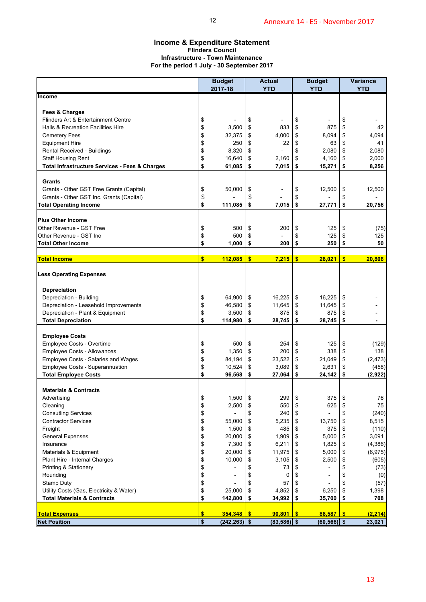### **Income & Expenditure Statement Flinders Council Infrastructure - Town Maintenance For the period 1 July - 30 September 2017**

| <b>Income &amp; Expenditure Statement</b>                              |          | 12                                                                  |          |                             |               | Annexure 14 - E5 - November 2017 |               |                               |
|------------------------------------------------------------------------|----------|---------------------------------------------------------------------|----------|-----------------------------|---------------|----------------------------------|---------------|-------------------------------|
| For the period 1 July - 30 September 2017                              |          | <b>Flinders Council</b><br><b>Infrastructure - Town Maintenance</b> |          |                             |               |                                  |               |                               |
|                                                                        |          | <b>Budget</b><br>2017-18                                            |          | <b>Actual</b><br><b>YTD</b> |               | <b>Budget</b><br><b>YTD</b>      |               | <b>Variance</b><br><b>YTD</b> |
| Income                                                                 |          |                                                                     |          |                             |               |                                  |               |                               |
|                                                                        |          |                                                                     |          |                             |               |                                  |               |                               |
| Fees & Charges<br>Flinders Art & Entertainment Centre                  | \$       |                                                                     | \$       |                             | \$            |                                  | \$            |                               |
| Halls & Recreation Facilities Hire                                     | \$       | 3,500                                                               | \$       | 833                         | \$            | 875                              | \$            | 42                            |
| <b>Cemetery Fees</b>                                                   | \$       | 32,375                                                              | \$       | 4,000                       | \$            | 8,094                            | \$            | 4,094                         |
| <b>Equipment Hire</b>                                                  | \$       | 250                                                                 | \$       | 22                          | \$            | 63                               | \$            | 41                            |
| Rental Received - Buildings                                            | \$       | 8,320                                                               | \$       |                             | \$            | 2,080                            | \$            | 2,080                         |
| <b>Staff Housing Rent</b>                                              | \$<br>\$ | 16,640                                                              | \$<br>\$ | 2,160                       | \$<br>\$      | 4,160                            | \$<br>\$      | 2,000<br>8,256                |
| Total Infrastructure Services - Fees & Charges                         |          | 61,085                                                              |          | 7,015                       |               | 15,271                           |               |                               |
| Grants                                                                 |          |                                                                     |          |                             |               |                                  |               |                               |
| Grants - Other GST Free Grants (Capital)                               | \$       | 50,000                                                              | \$       |                             | \$            | 12,500                           | \$            | 12,500                        |
| Grants - Other GST Inc. Grants (Capital)                               | \$       |                                                                     | \$       |                             | \$            |                                  | \$            |                               |
| <b>Total Operating Income</b>                                          | \$       | 111,085                                                             | \$       | 7,015                       | \$            | 27,771                           | \$            | 20,756                        |
| <b>Plus Other Income</b>                                               |          |                                                                     |          |                             |               |                                  |               |                               |
| Other Revenue - GST Free                                               | \$       | 500                                                                 | \$       | 200                         | \$            | 125                              | \$            | (75)                          |
| Other Revenue - GST Inc                                                | \$       | 500                                                                 | \$       |                             | \$            | 125                              | \$            | 125                           |
| <b>Total Other Income</b>                                              | \$       | 1,000                                                               | \$       | 200                         | \$            | 250                              | \$            | 50                            |
| <b>Total Income</b>                                                    | \$       | 112,085                                                             | \$       | 7,215                       | \$            | 28,021                           | \$            | 20,806                        |
|                                                                        |          |                                                                     |          |                             |               |                                  |               |                               |
| <b>Less Operating Expenses</b>                                         |          |                                                                     |          |                             |               |                                  |               |                               |
| <b>Depreciation</b>                                                    |          |                                                                     |          |                             |               |                                  |               |                               |
| Depreciation - Building                                                | \$       | 64,900                                                              | \$       | 16,225                      | \$            | 16,225                           | \$            |                               |
| Depreciation - Leasehold Improvements                                  | \$       | 46,580                                                              | \$       | 11,645                      | \$            | 11,645                           | \$            |                               |
| Depreciation - Plant & Equipment<br><b>Total Depreciation</b>          | \$<br>\$ | 3,500<br>114,980                                                    | \$<br>\$ | 875<br>28,745               | \$<br>\$      | 875<br>28,745                    | \$<br>\$      |                               |
|                                                                        |          |                                                                     |          |                             |               |                                  |               |                               |
| <b>Employee Costs</b>                                                  |          |                                                                     |          |                             |               |                                  |               |                               |
| Employee Costs - Overtime                                              | \$       | 500                                                                 | \$       | 254                         | \$            | 125                              | \$            | (129)                         |
| <b>Employee Costs - Allowances</b>                                     | \$       | 1,350                                                               | \$       | 200                         | \$            | 338                              | \$            | 138                           |
| Employee Costs - Salaries and Wages<br>Employee Costs - Superannuation | \$<br>\$ | 84,194<br>10,524                                                    | \$<br>\$ | 23,522<br>3,089             | \$<br>\$      | 21,049<br>2,631                  | \$<br>\$      | (2, 473)<br>(458)             |
| <b>Total Employee Costs</b>                                            | \$       | 96,568                                                              | \$       | 27,064                      | \$            | 24,142                           | \$            | (2,922)                       |
|                                                                        |          |                                                                     |          |                             |               |                                  |               |                               |
| <b>Materials &amp; Contracts</b>                                       |          |                                                                     |          |                             |               |                                  |               |                               |
| Advertising                                                            | \$       | 1,500                                                               | \$       | 299                         | \$            | 375                              | \$            | 76                            |
| Cleaning<br><b>Consutling Services</b>                                 | \$<br>\$ | 2,500                                                               | \$<br>\$ | 550<br>240                  | \$<br>\$      | 625                              | \$<br>\$      | 75<br>(240)                   |
| <b>Contractor Services</b>                                             | \$       | 55,000                                                              | \$       | 5,235                       | \$            | 13,750                           | \$            | 8,515                         |
| Freight                                                                | \$       | 1,500                                                               | \$       | 485                         | \$            | 375                              | \$            | (110)                         |
| <b>General Expenses</b>                                                | \$       | 20,000                                                              | \$       | 1,909                       | \$            | 5,000                            | \$            | 3,091                         |
| Insurance                                                              | \$       | 7,300                                                               | \$       | 6,211                       | \$            | 1,825                            | \$            | (4,386)                       |
| Materials & Equipment                                                  | \$       | 20,000                                                              | \$       | 11,975                      | \$            | 5,000                            | \$            | (6,975)                       |
| Plant Hire - Internal Charges<br><b>Printing &amp; Stationery</b>      | \$<br>\$ | 10,000                                                              | \$<br>\$ | 3,105<br>73                 | \$<br>\$      | 2,500                            | \$<br>\$      | (605)<br>(73)                 |
| Rounding                                                               | \$       | $\overline{a}$                                                      | \$       | 0                           | \$            | ÷                                | \$            | (0)                           |
| Stamp Duty                                                             | \$       |                                                                     | \$       | 57                          | \$            |                                  | \$            | (57)                          |
| Utility Costs (Gas, Electricity & Water)                               | \$       | 25,000                                                              | \$       | 4,852                       | \$            | 6,250                            | \$            | 1,398                         |
| <b>Total Materials &amp; Contracts</b>                                 | \$       | 142,800                                                             | \$       | 34,992                      | \$            | 35,700                           | \$            | 708                           |
| <b>Total Expenses</b>                                                  | \$       | 354,348                                                             | -\$      | 90,801                      | $\frac{1}{2}$ | 88,587                           | $\frac{1}{2}$ | (2, 214)                      |
| <b>Net Position</b>                                                    | \$       | $(242, 263)$ \$                                                     |          | $(83,586)$ \$               |               | $(60, 566)$ \$                   |               | 23,021                        |
|                                                                        |          |                                                                     |          |                             |               |                                  |               |                               |
|                                                                        |          |                                                                     |          |                             |               |                                  |               | 13                            |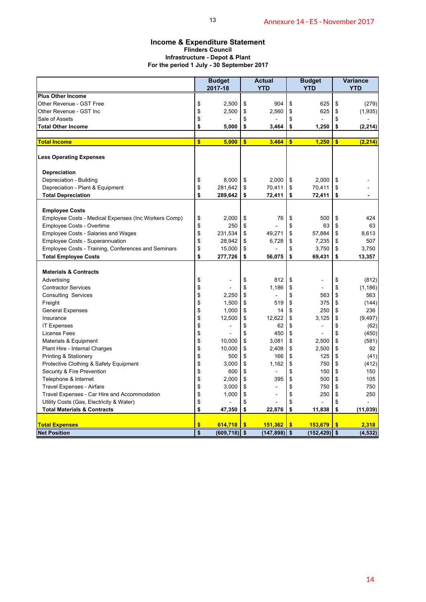### **Income & Expenditure Statement Flinders Council Infrastructure - Depot & Plant For the period 1 July - 30 September 2017**

| <b>Income &amp; Expenditure Statement</b><br><b>Flinders Council</b><br><b>Infrastructure - Depot &amp; Plant</b><br>For the period 1 July - 30 September 2017<br><b>Plus Other Income</b><br>Other Revenue - GST Free<br>\$<br>\$<br>Other Revenue - GST Inc | <b>Budget</b><br>2017-18 |           |                             |          |                          |               |                               |
|---------------------------------------------------------------------------------------------------------------------------------------------------------------------------------------------------------------------------------------------------------------|--------------------------|-----------|-----------------------------|----------|--------------------------|---------------|-------------------------------|
|                                                                                                                                                                                                                                                               |                          |           |                             |          |                          |               |                               |
|                                                                                                                                                                                                                                                               |                          |           | <b>Actual</b><br><b>YTD</b> |          | <b>Budget</b>            |               | <b>Variance</b><br><b>YTD</b> |
|                                                                                                                                                                                                                                                               |                          |           |                             |          | <b>YTD</b>               |               |                               |
|                                                                                                                                                                                                                                                               | 2,500                    | \$        | 904                         | \$       | 625                      | \$            | (279)                         |
|                                                                                                                                                                                                                                                               | 2,500                    | \$        | 2,560                       | \$       | 625                      | \$            | (1,935)                       |
| \$<br>Sale of Assets                                                                                                                                                                                                                                          |                          | \$        |                             | \$       |                          | \$            |                               |
| \$<br><b>Total Other Income</b>                                                                                                                                                                                                                               | 5,000                    | \$        | 3,464                       | \$       | 1,250                    | \$            | (2, 214)                      |
| <b>Total Income</b><br>\$                                                                                                                                                                                                                                     | 5,000                    | \$        | 3,464                       | \$       | 1,250                    | \$            | (2, 214)                      |
| <b>Less Operating Expenses</b>                                                                                                                                                                                                                                |                          |           |                             |          |                          |               |                               |
| <b>Depreciation</b>                                                                                                                                                                                                                                           |                          |           |                             |          |                          |               |                               |
| Depreciation - Building<br>\$                                                                                                                                                                                                                                 | 8,000                    | \$        | 2,000                       | \$       | 2.000                    | \$            |                               |
| \$<br>Depreciation - Plant & Equipment                                                                                                                                                                                                                        | 281,642                  | \$        | 70,411                      | \$       | 70,411                   | \$            |                               |
| \$<br><b>Total Depreciation</b>                                                                                                                                                                                                                               | 289,642                  | \$        | 72,411                      | \$       | 72,411                   | \$            |                               |
|                                                                                                                                                                                                                                                               |                          |           |                             |          |                          |               |                               |
| <b>Employee Costs</b>                                                                                                                                                                                                                                         |                          |           |                             |          |                          |               |                               |
| Employee Costs - Medical Expenses (Inc Workers Comp)<br>\$<br>\$<br>Employee Costs - Overtime                                                                                                                                                                 | 2,000                    | \$<br>\$  | 76                          | \$<br>\$ | 500                      | \$            | 424                           |
| \$<br>Employee Costs - Salaries and Wages                                                                                                                                                                                                                     | 250<br>231,534           | \$        | 49,271                      | \$       | 63<br>57,884             | \$<br>\$      | 63<br>8,613                   |
| \$<br>Employee Costs - Superannuation                                                                                                                                                                                                                         | 28,942                   | \$        | 6,728                       | \$       | 7,235                    | \$            | 507                           |
| \$<br>Employee Costs - Training, Conferences and Seminars                                                                                                                                                                                                     | 15,000                   | \$        |                             | \$       | 3,750                    | \$            | 3,750                         |
| \$<br><b>Total Employee Costs</b>                                                                                                                                                                                                                             | 277,726                  | \$        | 56,075                      | \$       | 69,431                   | \$            | 13,357                        |
|                                                                                                                                                                                                                                                               |                          |           |                             |          |                          |               |                               |
| <b>Materials &amp; Contracts</b>                                                                                                                                                                                                                              |                          |           |                             |          |                          |               |                               |
| \$<br>Advertising                                                                                                                                                                                                                                             |                          | \$        | 812                         | \$       |                          | \$            | (812)                         |
| <b>Contractor Services</b><br>\$<br>\$<br><b>Consulting Services</b>                                                                                                                                                                                          | 2,250                    | \$<br>\$  | 1,186<br>÷,                 | \$<br>\$ | 563                      | \$<br>\$      | (1, 186)<br>563               |
| \$<br>Freight                                                                                                                                                                                                                                                 | 1,500                    | \$        | 519                         | \$       | 375                      | \$            | (144)                         |
| \$<br><b>General Expenses</b>                                                                                                                                                                                                                                 | 1,000                    | \$        | 14                          | \$       | 250                      | \$            | 236                           |
| \$<br>Insurance                                                                                                                                                                                                                                               | 12,500                   | \$        | 12,622                      | \$       | 3,125                    | \$            | (9, 497)                      |
| \$<br><b>IT Expenses</b>                                                                                                                                                                                                                                      | ÷                        | \$        | 62                          | \$       | $\overline{a}$           | \$            | (62)                          |
| \$<br>License Fees                                                                                                                                                                                                                                            |                          | \$        | 450                         | \$       | $\overline{\phantom{a}}$ | \$            | (450)                         |
| Materials & Equipment<br>\$                                                                                                                                                                                                                                   | 10,000                   | \$        | 3,081                       | \$       | 2,500                    | \$            | (581)                         |
| \$<br>Plant Hire - Internal Charges                                                                                                                                                                                                                           | 10,000                   | \$        | 2,408                       | \$       | 2,500                    | \$            | 92                            |
| Printing & Stationery<br>\$                                                                                                                                                                                                                                   | 500                      | \$        | 166                         | \$       | 125                      | \$            | (41)                          |
| \$<br>Protective Clothing & Safety Equipment                                                                                                                                                                                                                  | 3,000                    | \$        | 1,162                       | \$       | 750                      | \$            | (412)                         |
| \$<br>Security & Fire Prevention                                                                                                                                                                                                                              | 600                      | \$        |                             | \$       | 150                      | \$            | 150                           |
| \$<br>Telephone & Internet<br>\$<br>Travel Expenses - Airfare                                                                                                                                                                                                 | 2,000<br>3,000           | \$<br>\$  | 395                         | \$<br>\$ | 500<br>750               | \$<br>\$      | 105<br>750                    |
| \$<br>Travel Expenses - Car Hire and Accommodation                                                                                                                                                                                                            | 1,000                    | \$        |                             | \$       | 250                      | \$            | 250                           |
| \$<br>Utility Costs (Gas, Electricity & Water)                                                                                                                                                                                                                |                          | \$        |                             | \$       |                          | \$            |                               |
| \$<br><b>Total Materials &amp; Contracts</b>                                                                                                                                                                                                                  | 47,350                   | \$        | 22,876                      | \$       | 11,838                   | \$            | (11, 039)                     |
| \$<br><b>Total Expenses</b>                                                                                                                                                                                                                                   | 614,718                  | $\bullet$ | 151,362                     | \$       | 153,679                  | $\frac{1}{2}$ | 2,318                         |
| <b>Net Position</b><br>\$                                                                                                                                                                                                                                     | $(609, 718)$ \$          |           | $(147,898)$ \$              |          | $(152, 429)$ \$          |               | (4, 532)                      |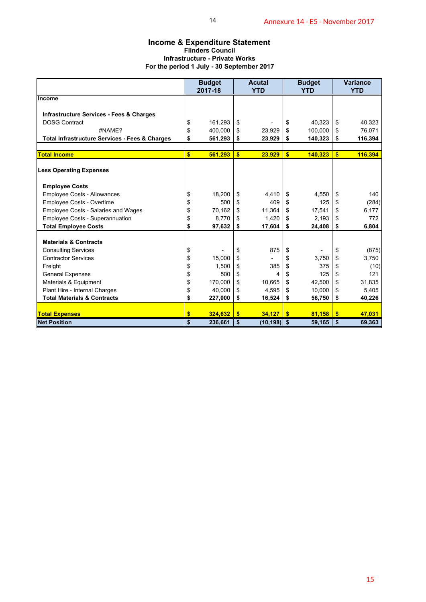### **Income & Expenditure Statement Flinders Council Infrastructure - Private Works For the period 1 July - 30 September 2017**

|                                                                  |              | 14                                                               |               |                |               | Annexure 14 - E5 - November 2017 |               |                  |
|------------------------------------------------------------------|--------------|------------------------------------------------------------------|---------------|----------------|---------------|----------------------------------|---------------|------------------|
|                                                                  |              | <b>Income &amp; Expenditure Statement</b>                        |               |                |               |                                  |               |                  |
|                                                                  |              | <b>Flinders Council</b><br><b>Infrastructure - Private Works</b> |               |                |               |                                  |               |                  |
|                                                                  |              | For the period 1 July - 30 September 2017                        |               |                |               |                                  |               |                  |
|                                                                  |              | <b>Budget</b>                                                    |               | <b>Acutal</b>  |               | <b>Budget</b>                    |               | <b>Variance</b>  |
| <b>Income</b>                                                    |              | 2017-18                                                          |               | <b>YTD</b>     |               | <b>YTD</b>                       |               | <b>YTD</b>       |
|                                                                  |              |                                                                  |               |                |               |                                  |               |                  |
| <b>Infrastructure Services - Fees &amp; Charges</b>              |              |                                                                  |               |                |               |                                  |               |                  |
| <b>DOSG Contract</b><br>#NAME?                                   | \$<br>\$     | 161,293<br>400,000                                               | \$<br>\$      | 23,929         | \$<br>\$      | 40,323<br>100,000                | \$<br>\$      | 40,323<br>76,071 |
| <b>Total Infrastructure Services - Fees &amp; Charges</b>        | \$           | 561,293                                                          | \$            | 23,929         | \$            | 140,323                          | \$            | 116,394          |
| <b>Total Income</b>                                              | $\mathbf{s}$ | 561,293                                                          | $\sqrt{2}$    | 23,929         | $\sqrt[6]{3}$ | 140,323                          | \$            | 116,394          |
|                                                                  |              |                                                                  |               |                |               |                                  |               |                  |
| <b>Less Operating Expenses</b>                                   |              |                                                                  |               |                |               |                                  |               |                  |
| <b>Employee Costs</b>                                            |              |                                                                  |               |                |               |                                  |               |                  |
| Employee Costs - Allowances                                      | \$           | 18,200                                                           | \$            | 4,410          | \$            | 4,550                            | \$            | 140              |
| Employee Costs - Overtime<br>Employee Costs - Salaries and Wages | \$<br>\$     | 500<br>70,162                                                    | \$<br>\$      | 409<br>11,364  | \$<br>\$      | 125<br>17,541                    | \$<br>\$      | (284)<br>6,177   |
| Employee Costs - Superannuation                                  | \$           | 8,770                                                            | \$            | 1,420          | \$            | 2,193                            | \$            | 772              |
| <b>Total Employee Costs</b>                                      | \$           | 97,632                                                           | \$            | 17,604         | \$            | 24,408                           | \$            | 6,804            |
|                                                                  |              |                                                                  |               |                |               |                                  |               |                  |
| <b>Materials &amp; Contracts</b>                                 |              |                                                                  |               |                |               |                                  |               |                  |
| <b>Consulting Services</b><br><b>Contractor Services</b>         | \$<br>\$     | 15,000                                                           | \$<br>\$      | 875            | \$<br>\$      | 3,750                            | \$<br>\$      | (875)<br>3,750   |
| Freight                                                          | \$           | 1,500                                                            | \$            | 385            | \$            | 375                              | \$            | (10)             |
| <b>General Expenses</b>                                          | \$           | 500                                                              | \$            | 4              | \$            | 125                              | \$            | 121              |
| Materials & Equipment                                            | \$           | 170,000                                                          | \$            | 10,665         | \$            | 42,500                           | \$            | 31,835           |
| Plant Hire - Internal Charges                                    | \$           | 40,000                                                           | \$            | 4,595          | \$            | 10,000                           | \$            | 5,405            |
| <b>Total Materials &amp; Contracts</b>                           | \$           | 227,000                                                          | \$            | 16,524         | \$            | 56,750                           | \$            | 40,226           |
| <b>Total Expenses</b>                                            | \$           | 324,632                                                          | $\sqrt[6]{3}$ | 34,127         | $\sqrt{2}$    | 81,158                           | $\frac{1}{2}$ | 47,031           |
| <b>Net Position</b>                                              | \$           | 236,661                                                          | $\sqrt{2}$    | $(10, 198)$ \$ |               | 59,165                           | \$            | 69,363           |
|                                                                  |              |                                                                  |               |                |               |                                  |               |                  |
|                                                                  |              |                                                                  |               |                |               |                                  |               | 15               |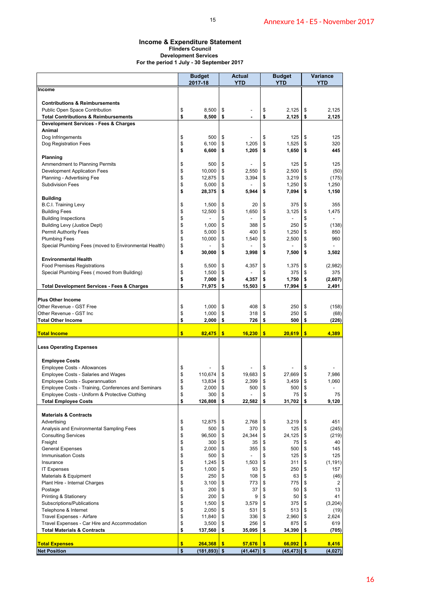### **Income & Expenditure Statement Flinders Council Development Services For the period 1 July - 30 September 2017**

| <b>Income &amp; Expenditure Statement</b><br>For the period 1 July - 30 September 2017                |                         | <b>Flinders Council</b><br><b>Development Services</b> |           |                          |               |                             |          |                        |
|-------------------------------------------------------------------------------------------------------|-------------------------|--------------------------------------------------------|-----------|--------------------------|---------------|-----------------------------|----------|------------------------|
|                                                                                                       |                         | <b>Budget</b><br>2017-18                               |           | Actual<br><b>YTD</b>     |               | <b>Budget</b><br><b>YTD</b> |          | Variance<br><b>YTD</b> |
| Income                                                                                                |                         |                                                        |           |                          |               |                             |          |                        |
| <b>Contributions &amp; Reimbursements</b>                                                             |                         |                                                        |           |                          |               |                             |          |                        |
| Public Open Space Contribution                                                                        | \$                      | 8,500                                                  | \$        |                          | \$            | 2,125                       | \$       | 2,125                  |
| <b>Total Contributions &amp; Reimbursements</b>                                                       | \$                      | 8,500                                                  | \$        |                          | \$            | 2,125                       | \$       | 2,125                  |
| Development Services - Fees & Charges                                                                 |                         |                                                        |           |                          |               |                             |          |                        |
| Animal<br>Dog Infringements                                                                           | \$                      | 500                                                    | \$        |                          | \$            | 125                         | \$       | 125                    |
| Dog Registration Fees                                                                                 | \$                      | 6,100                                                  | \$        | 1,205                    | \$            | 1,525                       | \$       | 320                    |
|                                                                                                       | \$                      | 6,600                                                  | \$        | 1,205                    | \$            | 1,650                       | \$       | 445                    |
| Planning                                                                                              |                         |                                                        |           |                          |               |                             |          |                        |
| Ammendment to Planning Permits<br>Development Application Fees                                        | \$<br>\$                | 500<br>10,000                                          | \$<br>\$  | 2,550                    | \$<br>\$      | 125<br>2,500                | \$<br>\$ | 125<br>(50)            |
| Planning - Advertising Fee                                                                            | \$                      | 12,875                                                 | \$        | 3,394                    | \$            | 3,219                       | \$       | (175)                  |
| <b>Subdivision Fees</b>                                                                               | \$                      | 5,000                                                  | \$        |                          | \$            | 1,250                       | \$       | 1,250                  |
|                                                                                                       | \$                      | 28,375                                                 | \$        | 5,944                    | \$            | 7,094                       | \$       | 1,150                  |
| <b>Building</b>                                                                                       | \$                      | 1,500                                                  | \$        | 20                       | \$            | 375                         | \$       | 355                    |
| B.C.I. Training Levy<br><b>Building Fees</b>                                                          | \$                      | 12,500                                                 | \$        | 1,650                    | \$            | 3,125                       | \$       | 1,475                  |
| <b>Building Inspections</b>                                                                           | \$                      |                                                        | \$        | $\overline{\phantom{a}}$ | \$            | $\overline{a}$              | \$       |                        |
| <b>Building Levy (Justice Dept)</b>                                                                   | \$                      | 1,000                                                  | \$        | 388                      | \$            | 250                         | \$       | (138)                  |
| <b>Permit Authority Fees</b>                                                                          | \$                      | 5,000                                                  | \$        | 400                      | \$            | 1,250                       | \$       | 850                    |
| <b>Plumbing Fees</b>                                                                                  | \$                      | 10,000                                                 | \$<br>\$  | 1,540                    | \$            | 2,500                       | \$       | 960                    |
| Special Plumbing Fees (moved to Environmental Health)                                                 | \$<br>\$                | 30,000                                                 | \$        | 3,998                    | \$<br>\$      | 7,500                       | \$<br>\$ | 3,502                  |
| <b>Environmental Health</b>                                                                           |                         |                                                        |           |                          |               |                             |          |                        |
| <b>Food Premises Registrations</b>                                                                    | \$                      | 5,500                                                  | \$        | 4,357                    | \$            | 1,375                       | \$       | (2,982)                |
| Special Plumbing Fees (moved from Building)                                                           | \$                      | 1,500                                                  | \$        |                          | \$            | 375                         | \$       | 375                    |
| <b>Total Development Services - Fees &amp; Charges</b>                                                | \$<br>\$                | 7,000<br>71,975                                        | \$<br>\$  | 4,357<br>15,503          | \$<br>\$      | 1,750<br>17,994             | \$<br>\$ | (2,607)<br>2,491       |
|                                                                                                       |                         |                                                        |           |                          |               |                             |          |                        |
| <b>Plus Other Income</b>                                                                              |                         |                                                        |           |                          |               |                             |          |                        |
| Other Revenue - GST Free                                                                              | \$                      | 1,000                                                  | \$        | 408                      | \$            | 250                         | \$       | (158)                  |
| Other Revenue - GST Inc<br><b>Total Other Income</b>                                                  | \$<br>\$                | 1,000<br>2,000                                         | \$<br>\$  | 318<br>726               | \$<br>\$      | 250<br>500                  | \$<br>\$ | (68)<br>(226)          |
|                                                                                                       |                         |                                                        |           |                          |               |                             |          |                        |
| <b>Total Income</b>                                                                                   | $\mathbf{s}$            | $82,475$ \$                                            |           | 16.230                   | $\frac{1}{2}$ | $20,619$ \$                 |          | 4,389                  |
| <b>Less Operating Expenses</b>                                                                        |                         |                                                        |           |                          |               |                             |          |                        |
| <b>Employee Costs</b>                                                                                 |                         |                                                        |           |                          |               |                             |          |                        |
| <b>Employee Costs - Allowances</b>                                                                    | \$                      |                                                        | \$        |                          | \$            |                             | \$       |                        |
| Employee Costs - Salaries and Wages                                                                   | \$                      | 110,674                                                | \$        | 19,683                   | \$            | 27,669                      | \$       | 7,986                  |
| Employee Costs - Superannuation                                                                       | \$                      | 13,834                                                 | \$        | 2,399                    | \$            | 3,459                       | \$       | 1,060                  |
| Employee Costs - Training, Conferences and Seminars<br>Employee Costs - Uniform & Protective Clothing | \$<br>\$                | 2,000<br>300                                           | \$<br>\$  | 500                      | \$<br>\$      | 500<br>75                   | \$<br>\$ | 75                     |
| <b>Total Employee Costs</b>                                                                           | \$                      | 126,808                                                | \$        | 22,582                   | \$            | 31,702                      | \$       | 9,120                  |
|                                                                                                       |                         |                                                        |           |                          |               |                             |          |                        |
| <b>Materials &amp; Contracts</b>                                                                      |                         |                                                        |           |                          |               |                             |          | 451                    |
| Advertising<br>Analysis and Environmental Sampling Fees                                               | \$<br>\$                | 12,875<br>500                                          | \$<br>\$  | 2,768<br>370             | \$<br>\$      | 3,219<br>125                | \$<br>\$ | (245)                  |
| <b>Consulting Services</b>                                                                            | \$                      | 96,500                                                 | \$        | 24,344                   | \$            | 24,125                      | \$       | (219)                  |
| Freight                                                                                               | \$                      | 300                                                    | \$        | 35                       | \$            | 75                          | \$       | 40                     |
| <b>General Expenses</b>                                                                               | \$                      | 2,000                                                  | \$        | 355                      | \$            | 500                         | \$       | 145                    |
| <b>Immunisation Costs</b>                                                                             | \$                      | 500                                                    | \$        |                          | \$            | 125                         | \$       | 125                    |
| Insurance<br><b>IT Expenses</b>                                                                       | \$<br>\$                | 1,245<br>1,000                                         | \$<br>\$  | 1,503<br>93              | \$<br>\$      | 311<br>250                  | \$<br>\$ | (1, 191)<br>157        |
| Materials & Equipment                                                                                 | \$                      | 250                                                    | \$        | 108                      | \$            | 63                          | \$       | (46)                   |
| Plant Hire - Internal Charges                                                                         | \$                      | 3,100                                                  | \$        | 773                      | \$            | 775                         | \$       | 2                      |
| Postage                                                                                               | \$                      | 200                                                    | \$        | 37                       | \$            | 50                          | \$       | 13                     |
| Printing & Stationery                                                                                 | \$                      | 200                                                    | \$        | 9                        | \$            | 50                          | \$       | 41                     |
| Subscriptions/Publications<br>Telephone & Internet                                                    | \$<br>\$                | 1,500<br>2,050                                         | \$<br>\$  | 3,579<br>531             | \$<br>\$      | 375<br>513                  | \$<br>\$ | (3,204)<br>(19)        |
| Travel Expenses - Airfare                                                                             | \$                      | 11,840                                                 | \$        | 336                      | \$            | 2,960                       | \$       | 2,624                  |
| Travel Expenses - Car Hire and Accommodation                                                          | \$                      | 3,500                                                  | \$        | 256                      | \$            | 875                         | \$       | 619                    |
| <b>Total Materials &amp; Contracts</b>                                                                | \$                      | 137,560                                                | \$        | 35,095                   | \$            | 34,390                      | \$       | (705)                  |
| <b>Total Expenses</b>                                                                                 | $\overline{\mathbf{s}}$ | 264,368                                                | $\bullet$ | 57,676                   | \$            | $66,092$ \$                 |          | 8,416                  |
| <b>Net Position</b>                                                                                   | \$                      | $(181, 893)$ \$                                        |           | $(41, 447)$ \$           |               | $(45, 473)$ \$              |          | (4, 027)               |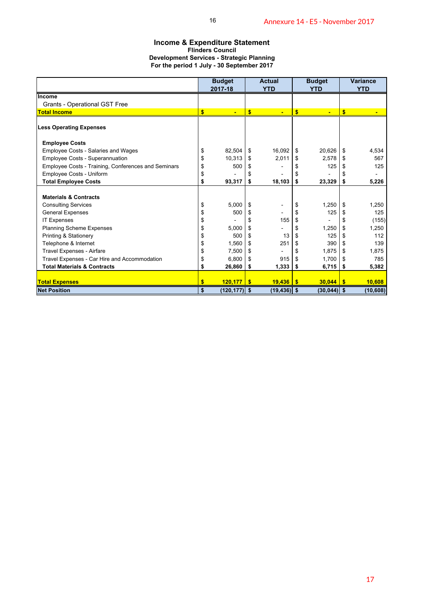### **Income & Expenditure Statement Flinders Council Development Services - Strategic Planning For the period 1 July - 30 September 2017**

| <b>Income &amp; Expenditure Statement</b>                                                     |           | 16                              |            |                               |                            | Annexure 14 - E5 - November 2017 |                            |                               |
|-----------------------------------------------------------------------------------------------|-----------|---------------------------------|------------|-------------------------------|----------------------------|----------------------------------|----------------------------|-------------------------------|
| <b>Development Services - Strategic Planning</b><br>For the period 1 July - 30 September 2017 |           | <b>Flinders Council</b>         |            |                               |                            |                                  |                            |                               |
|                                                                                               |           | <b>Budget</b><br>2017-18        |            | <b>Actual</b><br><b>YTD</b>   |                            | <b>Budget</b><br><b>YTD</b>      |                            | <b>Variance</b><br><b>YTD</b> |
| Income                                                                                        |           |                                 |            |                               |                            |                                  |                            |                               |
| Grants - Operational GST Free<br><b>Total Income</b>                                          | $\bullet$ | ÷                               | $\sqrt{2}$ | ä,                            | $\sqrt{2}$                 |                                  | $\sqrt{2}$                 |                               |
| <b>Less Operating Expenses</b>                                                                |           |                                 |            |                               |                            |                                  |                            |                               |
| <b>Employee Costs</b>                                                                         |           |                                 |            |                               |                            |                                  |                            |                               |
| Employee Costs - Salaries and Wages                                                           | \$        | 82,504                          | \$         | 16,092                        | \$                         | 20,626                           | \$                         | 4,534                         |
| Employee Costs - Superannuation<br>Employee Costs - Training, Conferences and Seminars        | \$<br>\$  | 10,313<br>500                   | \$<br>\$   | 2,011<br>$\frac{1}{2}$        | \$<br>\$                   | 2,578<br>125                     | \$<br>\$                   | 567<br>125                    |
| Employee Costs - Uniform                                                                      | \$        |                                 | \$         |                               | \$                         |                                  | \$                         |                               |
| <b>Total Employee Costs</b>                                                                   | \$        | 93,317                          | \$         | 18,103                        | \$                         | 23,329                           | \$                         | 5,226                         |
| <b>Materials &amp; Contracts</b>                                                              |           |                                 |            |                               |                            |                                  |                            |                               |
| <b>Consulting Services</b>                                                                    | \$        | 5,000                           | \$         | $\overline{\phantom{a}}$      | \$                         | 1,250                            | \$                         | 1,250                         |
| <b>General Expenses</b>                                                                       | \$        | 500                             | \$         |                               | \$                         | 125                              | \$                         | 125                           |
| <b>IT Expenses</b><br>Planning Scheme Expenses                                                | \$<br>\$  | 5,000                           | \$<br>\$   | 155<br>-                      | $\pmb{\mathfrak{P}}$<br>\$ | 1,250                            | \$<br>$\pmb{\mathfrak{S}}$ | (155)<br>1,250                |
| Printing & Stationery                                                                         | \$        | 500                             | \$         | 13                            | \$                         | 125                              | \$                         | 112                           |
| Telephone & Internet                                                                          | \$        | 1,560                           | \$         | 251                           | \$                         | 390                              | \$                         | 139                           |
| Travel Expenses - Airfare                                                                     | \$        | 7,500                           | \$         | $\overline{\phantom{0}}$      | \$                         | 1,875                            | \$                         | 1,875                         |
| Travel Expenses - Car Hire and Accommodation<br><b>Total Materials &amp; Contracts</b>        | \$<br>\$  | 6,800<br>26,860                 | \$<br>\$   | 915<br>1,333                  | \$<br>\$                   | 1,700<br>6,715                   | \$<br>\$                   | 785<br>5,382                  |
|                                                                                               |           |                                 |            |                               |                            |                                  |                            |                               |
| <b>Total Expenses</b><br><b>Net Position</b>                                                  | \$<br>\$  | $120,177$ \$<br>$(120, 177)$ \$ |            | $19,436$ \$<br>$(19, 436)$ \$ |                            | $30,044$ \$<br>$(30,044)$ \$     |                            | 10,608<br>(10, 608)           |
|                                                                                               |           |                                 |            |                               |                            |                                  |                            |                               |
|                                                                                               |           |                                 |            |                               |                            |                                  |                            | 17                            |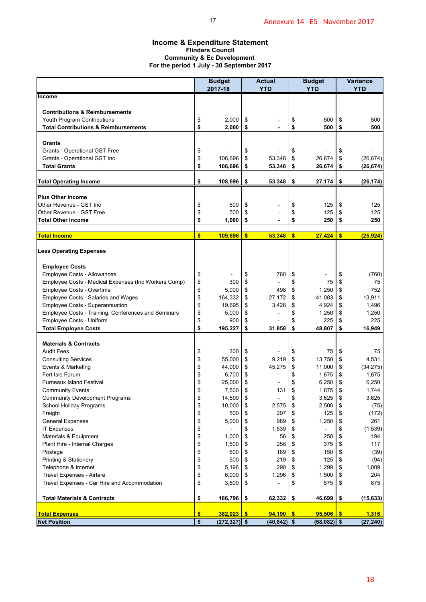### **Income & Expenditure Statement Flinders Council Community & Ec Development For the period 1 July - 30 September 2017**

| Income & Expenditure Statement<br>For the period 1 July - 30 September 2017    |              | <b>Flinders Council</b><br><b>Community &amp; Ec Development</b> |                         |                             |          |                             |                         |                               |
|--------------------------------------------------------------------------------|--------------|------------------------------------------------------------------|-------------------------|-----------------------------|----------|-----------------------------|-------------------------|-------------------------------|
|                                                                                |              | <b>Budget</b><br>2017-18                                         |                         | <b>Actual</b><br><b>YTD</b> |          | <b>Budget</b><br><b>YTD</b> |                         | <b>Variance</b><br><b>YTD</b> |
| <b>Income</b>                                                                  |              |                                                                  |                         |                             |          |                             |                         |                               |
|                                                                                |              |                                                                  |                         |                             |          |                             |                         |                               |
| <b>Contributions &amp; Reimbursements</b>                                      |              |                                                                  |                         |                             |          |                             |                         |                               |
| Youth Program Contributions<br><b>Total Contributions &amp; Reimbursements</b> | \$<br>\$     | 2,000<br>2,000                                                   | \$<br>\$                |                             | \$<br>\$ | 500<br>500                  | \$<br>\$                | 500<br>500                    |
|                                                                                |              |                                                                  |                         |                             |          |                             |                         |                               |
| Grants                                                                         |              |                                                                  |                         |                             |          |                             |                         |                               |
| Grants - Operational GST Free                                                  | \$           |                                                                  | \$                      |                             | \$       |                             | \$                      |                               |
| Grants - Operational GST Inc                                                   | \$           | 106,696                                                          | \$                      | 53,348                      | \$       | 26,674                      | \$                      | (26, 674)                     |
| <b>Total Grants</b>                                                            | \$           | 106,696                                                          | \$                      | 53,348                      | \$       | 26,674                      | \$                      | (26, 674)                     |
| <b>Total Operating Income</b>                                                  | \$           | 108,696                                                          | \$                      | 53,348                      | \$       | 27,174                      | \$                      | (26, 174)                     |
|                                                                                |              |                                                                  |                         |                             |          |                             |                         |                               |
| <b>Plus Other Income</b><br>Other Revenue - GST Inc                            |              | 500                                                              |                         |                             |          | 125                         |                         | 125                           |
| Other Revenue - GST Free                                                       | \$<br>\$     | 500                                                              | \$<br>\$                |                             | \$<br>\$ | 125                         | \$<br>\$                | 125                           |
| <b>Total Other Income</b>                                                      | \$           | 1,000                                                            | \$                      | $\blacksquare$              | \$       | 250                         | \$                      | 250                           |
|                                                                                |              |                                                                  |                         |                             |          |                             |                         |                               |
| <b>Total Income</b>                                                            | $\mathbf{s}$ | 109,696                                                          | $\overline{\mathbf{s}}$ | 53,348                      | \$       | 27,424                      | $\overline{\mathbf{s}}$ | (25, 924)                     |
| <b>Less Operating Expenses</b>                                                 |              |                                                                  |                         |                             |          |                             |                         |                               |
| <b>Employee Costs</b>                                                          |              |                                                                  |                         |                             |          |                             |                         |                               |
| Employee Costs - Allowances                                                    | \$           |                                                                  | \$                      | 760                         | \$       |                             | \$                      | (760)                         |
| Employee Costs - Medical Expenses (Inc Workers Comp)                           | \$           | 300                                                              | \$                      |                             | \$       | 75                          | \$                      | 75                            |
| Employee Costs - Overtime                                                      | \$           | 5,000                                                            | \$                      | 498                         | \$       | 1,250                       | \$                      | 752                           |
| Employee Costs - Salaries and Wages                                            | \$           | 164,332                                                          | \$                      | 27,172                      | \$       | 41,083                      | \$                      | 13,911                        |
| Employee Costs - Superannuation                                                | \$           | 19,695                                                           | \$                      | 3,428                       | \$       | 4,924                       | \$                      | 1,496                         |
| Employee Costs - Training, Conferences and Seminars                            | \$           | 5,000                                                            | \$                      |                             | \$       | 1,250                       | \$                      | 1,250                         |
| Employee Costs - Uniform                                                       | \$           | 900                                                              | \$                      | 31,858                      | \$       | 225                         | \$                      | 225                           |
| <b>Total Employee Costs</b>                                                    | \$           | 195,227                                                          | \$                      |                             | \$       | 48,807                      | \$                      | 16,949                        |
| <b>Materials &amp; Contracts</b>                                               |              |                                                                  |                         |                             |          |                             |                         |                               |
| <b>Audit Fees</b>                                                              | \$           | 300                                                              | \$                      |                             | \$       | 75                          | \$                      | 75                            |
| <b>Consulting Services</b>                                                     | \$           | 55,000                                                           | \$                      | 9,219                       | \$       | 13,750                      | \$                      | 4,531                         |
| Events & Marketing                                                             | \$           | 44,000                                                           | \$                      | 45,275                      | \$       | 11,000                      | \$                      | (34, 275)                     |
| Fert Isle Forum                                                                | \$           | 6,700                                                            | \$                      |                             | \$       | 1,675                       | \$                      | 1,675                         |
| <b>Furneaux Island Festival</b><br><b>Community Events</b>                     | \$           | 25,000<br>7,500                                                  | \$<br>\$                | $\overline{a}$<br>131       | \$<br>\$ | 6,250<br>1,875              | \$                      | 6,250<br>1,744                |
| <b>Community Development Programs</b>                                          | \$<br>\$     | 14,500                                                           | \$                      |                             | \$       | 3,625                       | \$<br>\$                | 3,625                         |
| School Holiday Programs                                                        | \$           | 10,000                                                           | \$                      | 2,575                       | \$       | 2,500                       | \$                      | (75)                          |
| Freight                                                                        | \$           | 500                                                              | \$                      | 297                         | \$       | 125                         | \$                      | (172)                         |
| <b>General Expenses</b>                                                        | \$           | 5,000                                                            | \$                      | 989                         | \$       | 1,250                       | \$                      | 261                           |
| <b>IT Expenses</b>                                                             | \$           |                                                                  | \$                      | 1,539                       | \$       | $\overline{a}$              | \$                      | (1, 539)                      |
| Materials & Equipment                                                          | \$           | 1,000                                                            | \$                      | 56                          | \$       | 250                         | \$                      | 194                           |
| Plant Hire - Internal Charges                                                  | \$           | 1,500                                                            | \$                      | 258                         | \$       | 375                         | \$                      | 117                           |
| Postage                                                                        | \$           | 600                                                              | \$                      | 189                         | \$       | 150                         | \$                      | (39)                          |
| Printing & Stationery                                                          | \$<br>\$     | 500                                                              | \$<br>\$                | 219<br>290                  | \$<br>\$ | 125<br>1,299                | \$<br>\$                | (94)<br>1,009                 |
| Telephone & Internet<br>Travel Expenses - Airfare                              | \$           | 5,196<br>6,000                                                   | \$                      | 1,296                       | \$       | 1,500                       | \$                      | 204                           |
| Travel Expenses - Car Hire and Accommodation                                   | \$           | 3,500                                                            | \$                      |                             | \$       | 875                         | \$                      | 875                           |
| <b>Total Materials &amp; Contracts</b>                                         | \$           | 186,796                                                          | \$                      | 62,332                      | \$       | 46,699                      | \$                      | (15, 633)                     |
| <b>Total Expenses</b>                                                          | \$           | 382,023                                                          | $\frac{1}{2}$           | $94,190$ \$                 |          | 95,506                      | $\sqrt{3}$              | 1,316                         |
| <b>Net Position</b>                                                            | \$           | $(272, 327)$ \$                                                  |                         | $(40, 842)$ \$              |          | $(68,082)$ \$               |                         | (27, 240)                     |
|                                                                                |              |                                                                  |                         |                             |          |                             |                         |                               |
|                                                                                |              |                                                                  |                         |                             |          |                             |                         | 18                            |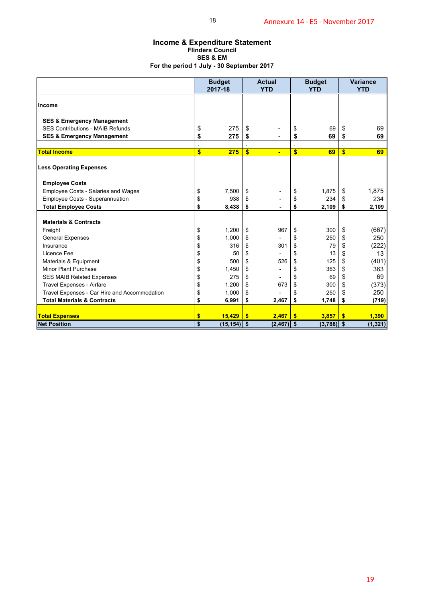### **Income & Expenditure Statement Flinders Council SES & EM For the period 1 July - 30 September 2017**

| <b>Income &amp; Expenditure Statement</b><br>For the period 1 July - 30 September 2017 |          | 18<br><b>Flinders Council</b><br><b>SES &amp; EM</b> |                         |                                  |               | Annexure 14 - E5 - November 2017 |                         |                               |
|----------------------------------------------------------------------------------------|----------|------------------------------------------------------|-------------------------|----------------------------------|---------------|----------------------------------|-------------------------|-------------------------------|
|                                                                                        |          | <b>Budget</b><br>2017-18                             |                         | <b>Actual</b><br><b>YTD</b>      |               | <b>Budget</b><br><b>YTD</b>      |                         | <b>Variance</b><br><b>YTD</b> |
| Income                                                                                 |          |                                                      |                         |                                  |               |                                  |                         |                               |
| <b>SES &amp; Emergency Management</b>                                                  |          |                                                      |                         |                                  |               |                                  |                         |                               |
| SES Contributions - MAIB Refunds                                                       | \$<br>\$ | 275<br>275                                           | \$<br>\$                | -                                | \$<br>\$      | 69<br>69                         | \$<br>\$                | 69<br>69                      |
| <b>SES &amp; Emergency Management</b>                                                  |          |                                                      |                         |                                  |               |                                  |                         |                               |
| <b>Total Income</b>                                                                    | \$       | 275                                                  | $\overline{\mathbf{s}}$ | $\blacksquare$                   | \$            | 69                               | $\overline{\mathbf{S}}$ | 69                            |
| <b>Less Operating Expenses</b>                                                         |          |                                                      |                         |                                  |               |                                  |                         |                               |
| <b>Employee Costs</b>                                                                  |          |                                                      |                         |                                  |               |                                  |                         |                               |
| Employee Costs - Salaries and Wages                                                    | \$       | 7,500<br>938                                         | \$                      |                                  | \$            | 1,875<br>234                     | \$                      | 1,875<br>234                  |
| Employee Costs - Superannuation<br><b>Total Employee Costs</b>                         | \$<br>\$ | 8,438                                                | \$<br>\$                | $\overline{a}$<br>$\blacksquare$ | \$<br>\$      | 2,109                            | \$<br>\$                | 2,109                         |
|                                                                                        |          |                                                      |                         |                                  |               |                                  |                         |                               |
| <b>Materials &amp; Contracts</b>                                                       | \$       | 1,200                                                | \$                      | 967                              |               | 300                              |                         |                               |
| Freight<br><b>General Expenses</b>                                                     | \$       | 1,000                                                | \$                      |                                  | \$<br>\$      | 250                              | \$<br>\$                | (667)<br>250                  |
| Insurance                                                                              | \$       | 316                                                  | \$                      | 301                              | \$            | 79                               | \$                      | (222)                         |
| Licence Fee                                                                            | \$       | 50                                                   | \$                      |                                  | \$            | 13                               | \$                      | 13                            |
| Materials & Equipment                                                                  | \$       | 500                                                  | \$                      | 526                              | \$            | 125                              | \$                      | (401)                         |
| Minor Plant Purchase                                                                   | \$       | 1,450                                                | \$                      | $\overline{\phantom{0}}$         | \$            | 363                              | \$                      | 363                           |
| <b>SES MAIB Related Expenses</b>                                                       | \$<br>\$ | 275<br>1,200                                         | \$<br>\$                | $\overline{\phantom{a}}$<br>673  | \$<br>\$      | 69<br>300                        | \$                      | 69                            |
| Travel Expenses - Airfare<br>Travel Expenses - Car Hire and Accommodation              | \$       | 1,000                                                | \$                      | $\overline{a}$                   | \$            | 250                              | \$<br>\$                | (373)<br>250                  |
| <b>Total Materials &amp; Contracts</b>                                                 | \$       | 6,991                                                | \$                      | 2,467                            | \$            | 1,748                            | \$                      | (719)                         |
|                                                                                        |          |                                                      |                         |                                  |               |                                  |                         |                               |
| <b>Total Expenses</b><br><b>Net Position</b>                                           | \$<br>\$ | $15,429$ \$<br>$(15, 154)$ \$                        |                         | 2,467<br>$(2, 467)$ \$           | $\frac{1}{2}$ | 3,857<br>$(3,788)$ \$            | $\frac{1}{2}$           | 1,390<br>(1, 321)             |
|                                                                                        |          |                                                      |                         |                                  |               |                                  |                         |                               |
|                                                                                        |          |                                                      |                         |                                  |               |                                  |                         | 19                            |